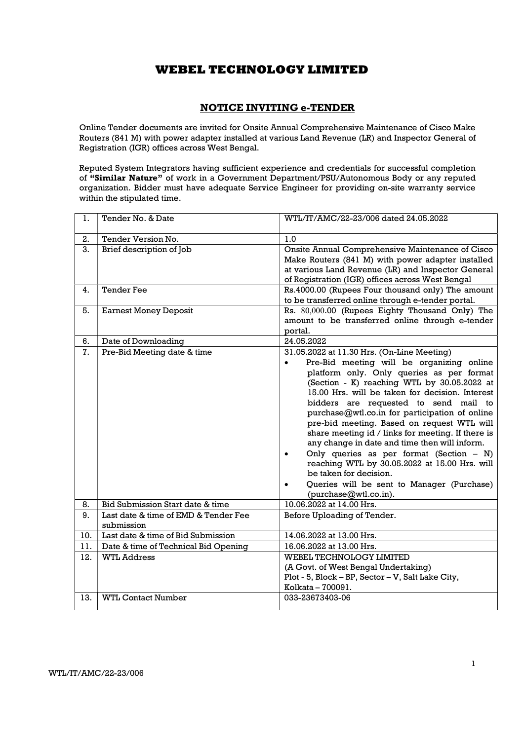## NOTICE INVITING e-TENDER

Online Tender documents are invited for Onsite Annual Comprehensive Maintenance of Cisco Make Routers (841 M) with power adapter installed at various Land Revenue (LR) and Inspector General of Registration (IGR) offices across West Bengal.

Reputed System Integrators having sufficient experience and credentials for successful completion of "Similar Nature" of work in a Government Department/PSU/Autonomous Body or any reputed organization. Bidder must have adequate Service Engineer for providing on-site warranty service within the stipulated time.

| 1.  | Tender No. & Date                                  | WTL/IT/AMC/22-23/006 dated 24.05.2022                                                                                                                                                                                                                                                                                                                                                                                                                                                                                                                                                                                                                                                                                         |
|-----|----------------------------------------------------|-------------------------------------------------------------------------------------------------------------------------------------------------------------------------------------------------------------------------------------------------------------------------------------------------------------------------------------------------------------------------------------------------------------------------------------------------------------------------------------------------------------------------------------------------------------------------------------------------------------------------------------------------------------------------------------------------------------------------------|
| 2.  | Tender Version No.                                 | 1.0                                                                                                                                                                                                                                                                                                                                                                                                                                                                                                                                                                                                                                                                                                                           |
| 3.  | Brief description of Job                           | Onsite Annual Comprehensive Maintenance of Cisco<br>Make Routers (841 M) with power adapter installed<br>at various Land Revenue (LR) and Inspector General<br>of Registration (IGR) offices across West Bengal                                                                                                                                                                                                                                                                                                                                                                                                                                                                                                               |
| 4.  | <b>Tender Fee</b>                                  | Rs.4000.00 (Rupees Four thousand only) The amount<br>to be transferred online through e-tender portal.                                                                                                                                                                                                                                                                                                                                                                                                                                                                                                                                                                                                                        |
| 5.  | <b>Earnest Money Deposit</b>                       | Rs. 80,000.00 (Rupees Eighty Thousand Only) The<br>amount to be transferred online through e-tender<br>portal.                                                                                                                                                                                                                                                                                                                                                                                                                                                                                                                                                                                                                |
| 6.  | Date of Downloading                                | 24.05.2022                                                                                                                                                                                                                                                                                                                                                                                                                                                                                                                                                                                                                                                                                                                    |
| 7.  | Pre-Bid Meeting date & time                        | 31.05.2022 at 11.30 Hrs. (On-Line Meeting)<br>Pre-Bid meeting will be organizing online<br>$\bullet$<br>platform only. Only queries as per format<br>(Section - K) reaching WTL by 30.05.2022 at<br>15.00 Hrs. will be taken for decision. Interest<br>bidders are requested to send mail to<br>purchase@wtl.co.in for participation of online<br>pre-bid meeting. Based on request WTL will<br>share meeting id / links for meeting. If there is<br>any change in date and time then will inform.<br>Only queries as per format (Section $- N$ )<br>$\bullet$<br>reaching WTL by 30.05.2022 at 15.00 Hrs. will<br>be taken for decision.<br>Queries will be sent to Manager (Purchase)<br>$\bullet$<br>(purchase@wtl.co.in). |
| 8.  | Bid Submission Start date & time                   | 10.06.2022 at 14.00 Hrs.                                                                                                                                                                                                                                                                                                                                                                                                                                                                                                                                                                                                                                                                                                      |
| 9.  | Last date & time of EMD & Tender Fee<br>submission | Before Uploading of Tender.                                                                                                                                                                                                                                                                                                                                                                                                                                                                                                                                                                                                                                                                                                   |
| 10. | Last date & time of Bid Submission                 | 14.06.2022 at 13.00 Hrs.                                                                                                                                                                                                                                                                                                                                                                                                                                                                                                                                                                                                                                                                                                      |
| 11. | Date & time of Technical Bid Opening               | 16.06.2022 at 13.00 Hrs.                                                                                                                                                                                                                                                                                                                                                                                                                                                                                                                                                                                                                                                                                                      |
| 12. | <b>WTL Address</b>                                 | WEBEL TECHNOLOGY LIMITED<br>(A Govt. of West Bengal Undertaking)<br>Plot - 5, Block - BP, Sector - V, Salt Lake City,<br>Kolkata - 700091.                                                                                                                                                                                                                                                                                                                                                                                                                                                                                                                                                                                    |
| 13. | <b>WTL Contact Number</b>                          | 033-23673403-06                                                                                                                                                                                                                                                                                                                                                                                                                                                                                                                                                                                                                                                                                                               |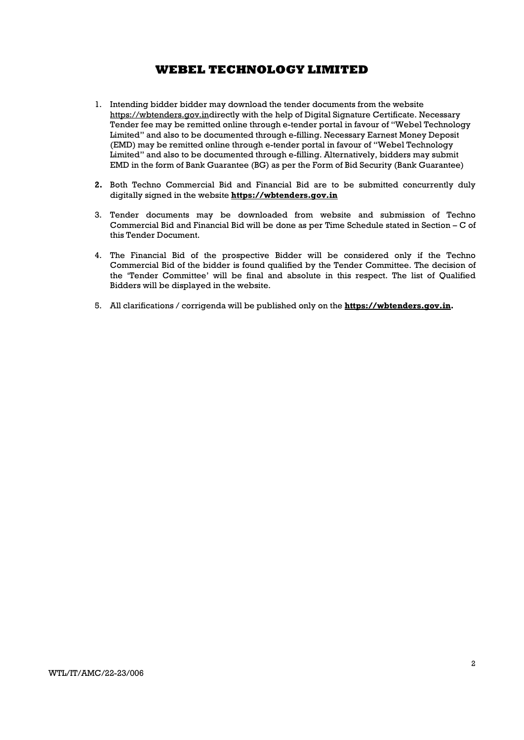- 1. Intending bidder bidder may download the tender documents from the website https://wbtenders.gov.indirectly with the help of Digital Signature Certificate. Necessary Tender fee may be remitted online through e-tender portal in favour of "Webel Technology Limited" and also to be documented through e-filling. Necessary Earnest Money Deposit (EMD) may be remitted online through e-tender portal in favour of "Webel Technology Limited" and also to be documented through e-filling. Alternatively, bidders may submit EMD in the form of Bank Guarantee (BG) as per the Form of Bid Security (Bank Guarantee)
- 2. Both Techno Commercial Bid and Financial Bid are to be submitted concurrently duly digitally signed in the website https://wbtenders.gov.in
- 3. Tender documents may be downloaded from website and submission of Techno Commercial Bid and Financial Bid will be done as per Time Schedule stated in Section – C of this Tender Document.
- 4. The Financial Bid of the prospective Bidder will be considered only if the Techno Commercial Bid of the bidder is found qualified by the Tender Committee. The decision of the 'Tender Committee' will be final and absolute in this respect. The list of Qualified Bidders will be displayed in the website.
- 5. All clarifications / corrigenda will be published only on the **https://wbtenders.gov.in.**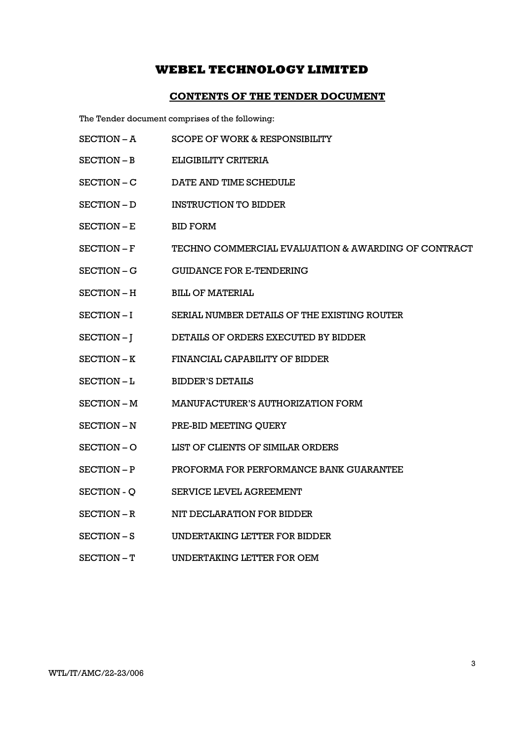## CONTENTS OF THE TENDER DOCUMENT

The Tender document comprises of the following:

- SECTION A SCOPE OF WORK & RESPONSIBILITY
- SECTION B ELIGIBILITY CRITERIA
- SECTION C DATE AND TIME SCHEDULE
- SECTION D INSTRUCTION TO BIDDER
- SECTION E BID FORM
- SECTION F TECHNO COMMERCIAL EVALUATION & AWARDING OF CONTRACT
- SECTION G GUIDANCE FOR E-TENDERING
- SECTION H BILL OF MATERIAL
- SECTION I SERIAL NUMBER DETAILS OF THE EXISTING ROUTER
- SECTION J DETAILS OF ORDERS EXECUTED BY BIDDER
- SECTION K FINANCIAL CAPABILITY OF BIDDER
- SECTION L BIDDER'S DETAILS
- SECTION M MANUFACTURER'S AUTHORIZATION FORM
- SECTION N PRE-BID MEETING QUERY
- SECTION O LIST OF CLIENTS OF SIMILAR ORDERS
- SECTION P PROFORMA FOR PERFORMANCE BANK GUARANTEE
- SECTION O SERVICE LEVEL AGREEMENT
- SECTION R NIT DECLARATION FOR BIDDER
- SECTION S UNDERTAKING LETTER FOR BIDDER
- SECTION T UNDERTAKING LETTER FOR OEM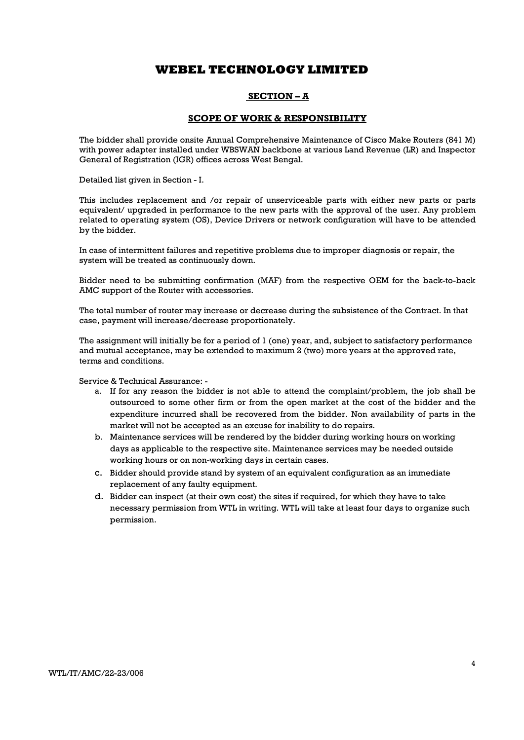### SECTION – A

### SCOPE OF WORK & RESPONSIBILITY

The bidder shall provide onsite Annual Comprehensive Maintenance of Cisco Make Routers (841 M) with power adapter installed under WBSWAN backbone at various Land Revenue (LR) and Inspector General of Registration (IGR) offices across West Bengal.

Detailed list given in Section - I.

This includes replacement and /or repair of unserviceable parts with either new parts or parts equivalent/ upgraded in performance to the new parts with the approval of the user. Any problem related to operating system (OS), Device Drivers or network configuration will have to be attended by the bidder.

In case of intermittent failures and repetitive problems due to improper diagnosis or repair, the system will be treated as continuously down.

Bidder need to be submitting confirmation (MAF) from the respective OEM for the back-to-back AMC support of the Router with accessories.

The total number of router may increase or decrease during the subsistence of the Contract. In that case, payment will increase/decrease proportionately.

The assignment will initially be for a period of 1 (one) year, and, subject to satisfactory performance and mutual acceptance, may be extended to maximum 2 (two) more years at the approved rate, terms and conditions.

Service & Technical Assurance: -

- a. If for any reason the bidder is not able to attend the complaint/problem, the job shall be outsourced to some other firm or from the open market at the cost of the bidder and the expenditure incurred shall be recovered from the bidder. Non availability of parts in the market will not be accepted as an excuse for inability to do repairs.
- b. Maintenance services will be rendered by the bidder during working hours on working days as applicable to the respective site. Maintenance services may be needed outside working hours or on non-working days in certain cases.
- c. Bidder should provide stand by system of an equivalent configuration as an immediate replacement of any faulty equipment.
- d. Bidder can inspect (at their own cost) the sites if required, for which they have to take necessary permission from WTL in writing. WTL will take at least four days to organize such permission.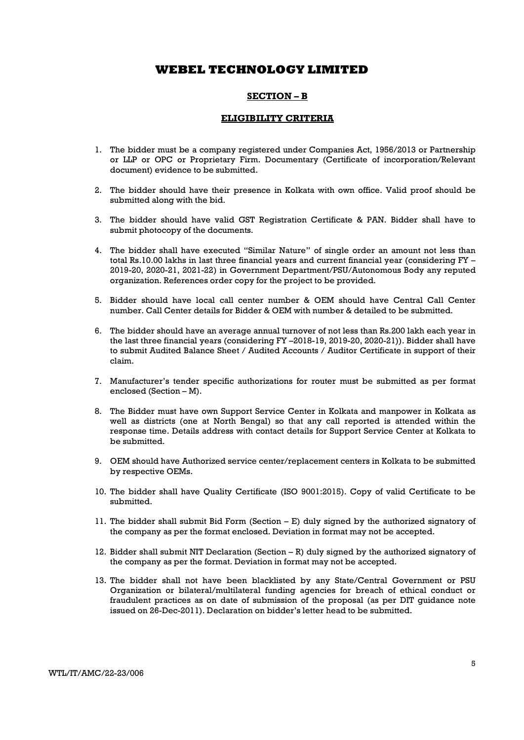#### SECTION – B

## ELIGIBILITY CRITERIA

- 1. The bidder must be a company registered under Companies Act, 1956/2013 or Partnership or LLP or OPC or Proprietary Firm. Documentary (Certificate of incorporation/Relevant document) evidence to be submitted.
- 2. The bidder should have their presence in Kolkata with own office. Valid proof should be submitted along with the bid.
- 3. The bidder should have valid GST Registration Certificate & PAN. Bidder shall have to submit photocopy of the documents.
- 4. The bidder shall have executed "Similar Nature" of single order an amount not less than total Rs.10.00 lakhs in last three financial years and current financial year (considering FY – 2019-20, 2020-21, 2021-22) in Government Department/PSU/Autonomous Body any reputed organization. References order copy for the project to be provided.
- 5. Bidder should have local call center number & OEM should have Central Call Center number. Call Center details for Bidder & OEM with number & detailed to be submitted.
- 6. The bidder should have an average annual turnover of not less than Rs.200 lakh each year in the last three financial years (considering FY –2018-19, 2019-20, 2020-21)). Bidder shall have to submit Audited Balance Sheet / Audited Accounts / Auditor Certificate in support of their claim.
- 7. Manufacturer's tender specific authorizations for router must be submitted as per format enclosed (Section – M).
- 8. The Bidder must have own Support Service Center in Kolkata and manpower in Kolkata as well as districts (one at North Bengal) so that any call reported is attended within the response time. Details address with contact details for Support Service Center at Kolkata to be submitted.
- 9. OEM should have Authorized service center/replacement centers in Kolkata to be submitted by respective OEMs.
- 10. The bidder shall have Quality Certificate (ISO 9001:2015). Copy of valid Certificate to be submitted.
- 11. The bidder shall submit Bid Form (Section  $-E$ ) duly signed by the authorized signatory of the company as per the format enclosed. Deviation in format may not be accepted.
- 12. Bidder shall submit NIT Declaration (Section R) duly signed by the authorized signatory of the company as per the format. Deviation in format may not be accepted.
- 13. The bidder shall not have been blacklisted by any State/Central Government or PSU Organization or bilateral/multilateral funding agencies for breach of ethical conduct or fraudulent practices as on date of submission of the proposal (as per DIT guidance note issued on 26-Dec-2011). Declaration on bidder's letter head to be submitted.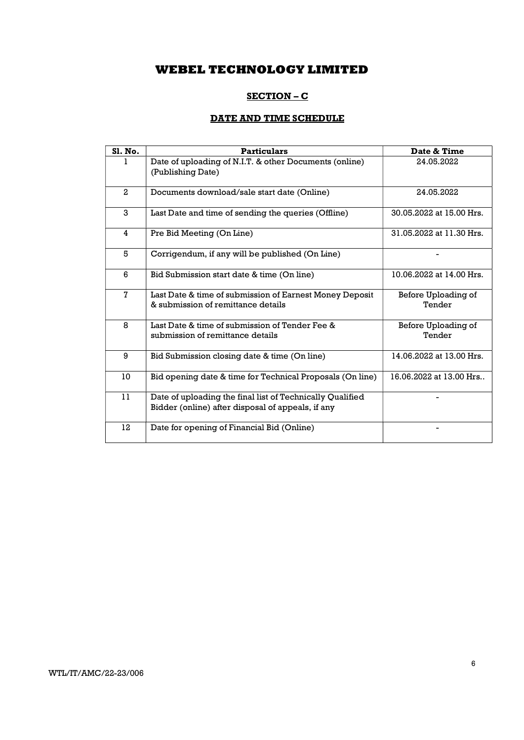## SECTION – C

# DATE AND TIME SCHEDULE

| <b>S1. No.</b> | <b>Particulars</b>                                                                                             | Date & Time                   |
|----------------|----------------------------------------------------------------------------------------------------------------|-------------------------------|
|                | Date of uploading of N.I.T. & other Documents (online)<br>(Publishing Date)                                    | 24.05.2022                    |
| $\overline{2}$ | Documents download/sale start date (Online)                                                                    | 24.05.2022                    |
| 3              | Last Date and time of sending the queries (Offline)                                                            | 30.05.2022 at 15.00 Hrs.      |
| 4              | Pre Bid Meeting (On Line)                                                                                      | 31.05.2022 at 11.30 Hrs.      |
| 5              | Corrigendum, if any will be published (On Line)                                                                |                               |
| 6              | Bid Submission start date & time (On line)                                                                     | 10.06.2022 at 14.00 Hrs.      |
| 7              | Last Date & time of submission of Earnest Money Deposit<br>& submission of remittance details                  | Before Uploading of<br>Tender |
| 8              | Last Date & time of submission of Tender Fee &<br>submission of remittance details                             | Before Uploading of<br>Tender |
| 9              | Bid Submission closing date & time (On line)                                                                   | 14.06.2022 at 13.00 Hrs.      |
| 10             | Bid opening date & time for Technical Proposals (On line)                                                      | 16.06.2022 at 13.00 Hrs       |
| 11             | Date of uploading the final list of Technically Qualified<br>Bidder (online) after disposal of appeals, if any |                               |
| 12             | Date for opening of Financial Bid (Online)                                                                     |                               |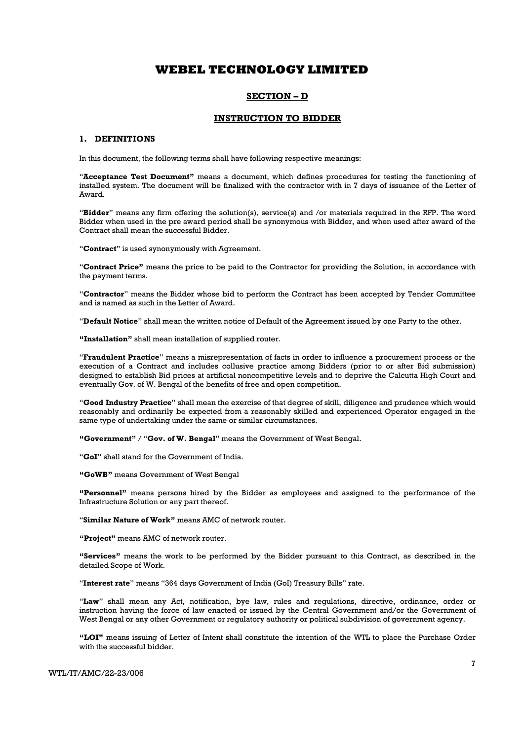#### SECTION – D

#### INSTRUCTION TO BIDDER

#### 1. DEFINITIONS

In this document, the following terms shall have following respective meanings:

"Acceptance Test Document" means a document, which defines procedures for testing the functioning of installed system. The document will be finalized with the contractor with in 7 days of issuance of the Letter of Award.

"Bidder" means any firm offering the solution(s), service(s) and /or materials required in the RFP. The word Bidder when used in the pre award period shall be synonymous with Bidder, and when used after award of the Contract shall mean the successful Bidder.

"Contract" is used synonymously with Agreement.

"Contract Price" means the price to be paid to the Contractor for providing the Solution, in accordance with the payment terms.

"Contractor" means the Bidder whose bid to perform the Contract has been accepted by Tender Committee and is named as such in the Letter of Award.

"Default Notice" shall mean the written notice of Default of the Agreement issued by one Party to the other.

"Installation" shall mean installation of supplied router.

"Fraudulent Practice" means a misrepresentation of facts in order to influence a procurement process or the execution of a Contract and includes collusive practice among Bidders (prior to or after Bid submission) designed to establish Bid prices at artificial noncompetitive levels and to deprive the Calcutta High Court and eventually Gov. of W. Bengal of the benefits of free and open competition.

"Good Industry Practice" shall mean the exercise of that degree of skill, diligence and prudence which would reasonably and ordinarily be expected from a reasonably skilled and experienced Operator engaged in the same type of undertaking under the same or similar circumstances.

"Government" / "Gov. of W. Bengal" means the Government of West Bengal.

"GoI" shall stand for the Government of India.

"GoWB" means Government of West Bengal

"Personnel" means persons hired by the Bidder as employees and assigned to the performance of the Infrastructure Solution or any part thereof.

"Similar Nature of Work" means AMC of network router.

"Project" means AMC of network router.

"Services" means the work to be performed by the Bidder pursuant to this Contract, as described in the detailed Scope of Work.

"Interest rate" means "364 days Government of India (GoI) Treasury Bills" rate.

"Law" shall mean any Act, notification, bye law, rules and regulations, directive, ordinance, order or instruction having the force of law enacted or issued by the Central Government and/or the Government of West Bengal or any other Government or regulatory authority or political subdivision of government agency.

"LOI" means issuing of Letter of Intent shall constitute the intention of the WTL to place the Purchase Order with the successful bidder.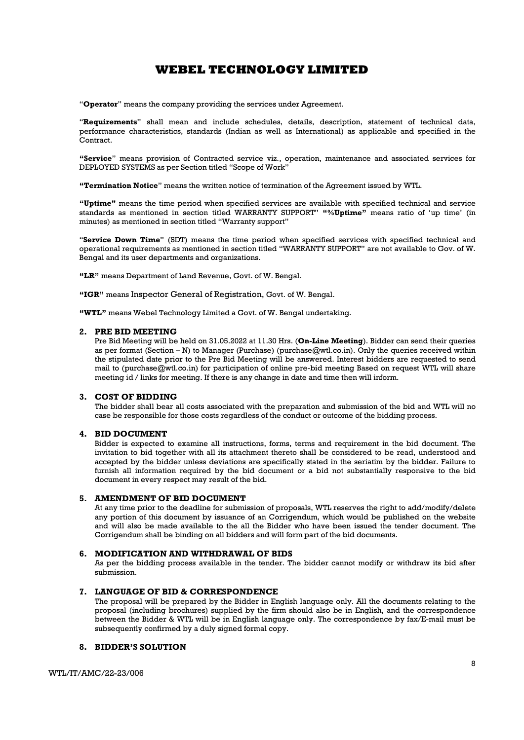"Operator" means the company providing the services under Agreement.

"Requirements" shall mean and include schedules, details, description, statement of technical data, performance characteristics, standards (Indian as well as International) as applicable and specified in the Contract.

"Service" means provision of Contracted service viz., operation, maintenance and associated services for DEPLOYED SYSTEMS as per Section titled "Scope of Work"

"Termination Notice" means the written notice of termination of the Agreement issued by WTL.

"Uptime" means the time period when specified services are available with specified technical and service standards as mentioned in section titled WARRANTY SUPPORT" "%Uptime" means ratio of 'up time' (in minutes) as mentioned in section titled "Warranty support"

"Service Down Time" (SDT) means the time period when specified services with specified technical and operational requirements as mentioned in section titled "WARRANTY SUPPORT" are not available to Gov. of W. Bengal and its user departments and organizations.

"LR" means Department of Land Revenue, Govt. of W. Bengal.

"IGR" means Inspector General of Registration, Govt. of W. Bengal.

"WTL" means Webel Technology Limited a Govt. of W. Bengal undertaking.

#### 2. PRE BID MEETING

Pre Bid Meeting will be held on 31.05.2022 at 11.30 Hrs. (On-Line Meeting). Bidder can send their queries as per format (Section – N) to Manager (Purchase) (purchase  $@wtl.co.in$ ). Only the queries received within the stipulated date prior to the Pre Bid Meeting will be answered. Interest bidders are requested to send mail to (purchase@wtl.co.in) for participation of online pre-bid meeting Based on request WTL will share meeting id / links for meeting. If there is any change in date and time then will inform.

#### 3. COST OF BIDDING

The bidder shall bear all costs associated with the preparation and submission of the bid and WTL will no case be responsible for those costs regardless of the conduct or outcome of the bidding process.

#### 4. BID DOCUMENT

Bidder is expected to examine all instructions, forms, terms and requirement in the bid document. The invitation to bid together with all its attachment thereto shall be considered to be read, understood and accepted by the bidder unless deviations are specifically stated in the seriatim by the bidder. Failure to furnish all information required by the bid document or a bid not substantially responsive to the bid document in every respect may result of the bid.

#### 5. AMENDMENT OF BID DOCUMENT

At any time prior to the deadline for submission of proposals, WTL reserves the right to add/modify/delete any portion of this document by issuance of an Corrigendum, which would be published on the website and will also be made available to the all the Bidder who have been issued the tender document. The Corrigendum shall be binding on all bidders and will form part of the bid documents.

#### 6. MODIFICATION AND WITHDRAWAL OF BIDS

As per the bidding process available in the tender. The bidder cannot modify or withdraw its bid after submission.

#### 7. LANGUAGE OF BID & CORRESPONDENCE

The proposal will be prepared by the Bidder in English language only. All the documents relating to the proposal (including brochures) supplied by the firm should also be in English, and the correspondence between the Bidder & WTL will be in English language only. The correspondence by fax/E-mail must be subsequently confirmed by a duly signed formal copy.

#### 8. BIDDER'S SOLUTION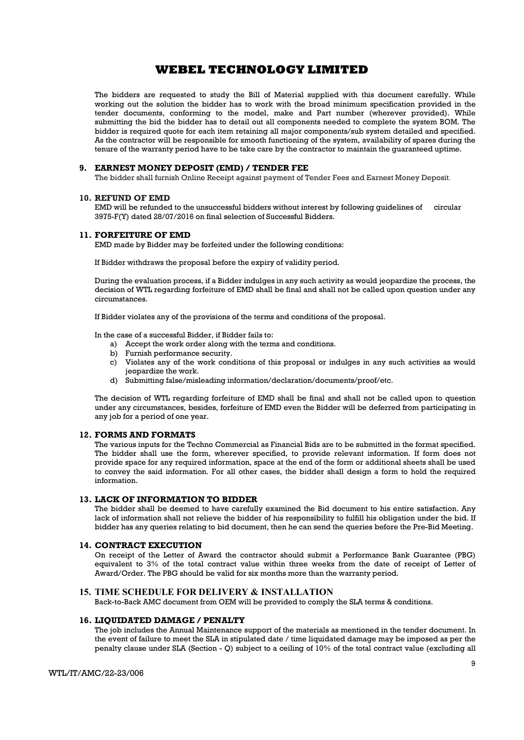The bidders are requested to study the Bill of Material supplied with this document carefully. While working out the solution the bidder has to work with the broad minimum specification provided in the tender documents, conforming to the model, make and Part number (wherever provided). While submitting the bid the bidder has to detail out all components needed to complete the system BOM. The bidder is required quote for each item retaining all major components/sub system detailed and specified. As the contractor will be responsible for smooth functioning of the system, availability of spares during the tenure of the warranty period have to be take care by the contractor to maintain the guaranteed uptime.

#### 9. EARNEST MONEY DEPOSIT (EMD) / TENDER FEE

The bidder shall furnish Online Receipt against payment of Tender Fees and Earnest Money Deposit.

#### 10. REFUND OF EMD

EMD will be refunded to the unsuccessful bidders without interest by following guidelines of circular 3975-F(Y) dated 28/07/2016 on final selection of Successful Bidders.

#### 11. FORFEITURE OF EMD

EMD made by Bidder may be forfeited under the following conditions:

If Bidder withdraws the proposal before the expiry of validity period.

During the evaluation process, if a Bidder indulges in any such activity as would jeopardize the process, the decision of WTL regarding forfeiture of EMD shall be final and shall not be called upon question under any circumstances.

If Bidder violates any of the provisions of the terms and conditions of the proposal.

In the case of a successful Bidder, if Bidder fails to:

- a) Accept the work order along with the terms and conditions.
- b) Furnish performance security.
- c) Violates any of the work conditions of this proposal or indulges in any such activities as would jeopardize the work.
- d) Submitting false/misleading information/declaration/documents/proof/etc.

The decision of WTL regarding forfeiture of EMD shall be final and shall not be called upon to question under any circumstances, besides, forfeiture of EMD even the Bidder will be deferred from participating in any job for a period of one year.

#### 12. FORMS AND FORMATS

The various inputs for the Techno Commercial as Financial Bids are to be submitted in the format specified. The bidder shall use the form, wherever specified, to provide relevant information. If form does not provide space for any required information, space at the end of the form or additional sheets shall be used to convey the said information. For all other cases, the bidder shall design a form to hold the required information.

#### 13. LACK OF INFORMATION TO BIDDER

The bidder shall be deemed to have carefully examined the Bid document to his entire satisfaction. Any lack of information shall not relieve the bidder of his responsibility to fulfill his obligation under the bid. If bidder has any queries relating to bid document, then he can send the queries before the Pre-Bid Meeting.

#### 14. CONTRACT EXECUTION

On receipt of the Letter of Award the contractor should submit a Performance Bank Guarantee (PBG) equivalent to 3% of the total contract value within three weeks from the date of receipt of Letter of Award/Order. The PBG should be valid for six months more than the warranty period.

#### 15. TIME SCHEDULE FOR DELIVERY & INSTALLATION

Back-to-Back AMC document from OEM will be provided to comply the SLA terms & conditions.

#### 16. LIQUIDATED DAMAGE / PENALTY

The job includes the Annual Maintenance support of the materials as mentioned in the tender document. In the event of failure to meet the SLA in stipulated date / time liquidated damage may be imposed as per the penalty clause under SLA (Section - Q) subject to a ceiling of 10% of the total contract value (excluding all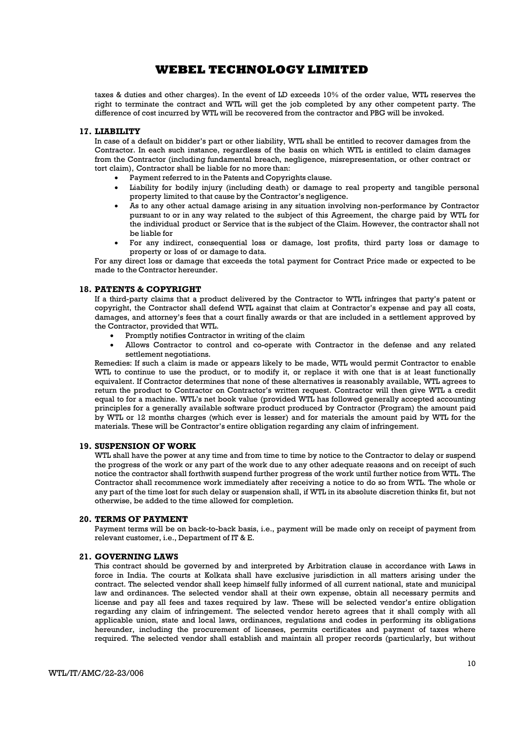taxes & duties and other charges). In the event of LD exceeds 10% of the order value, WTL reserves the right to terminate the contract and WTL will get the job completed by any other competent party. The difference of cost incurred by WTL will be recovered from the contractor and PBG will be invoked.

#### 17. LIABILITY

In case of a default on bidder's part or other liability, WTL shall be entitled to recover damages from the Contractor. In each such instance, regardless of the basis on which WTL is entitled to claim damages from the Contractor (including fundamental breach, negligence, misrepresentation, or other contract or tort claim), Contractor shall be liable for no more than:

- Payment referred to in the Patents and Copyrights clause.
- Liability for bodily injury (including death) or damage to real property and tangible personal property limited to that cause by the Contractor's negligence.
- As to any other actual damage arising in any situation involving non-performance by Contractor pursuant to or in any way related to the subject of this Agreement, the charge paid by WTL for the individual product or Service that is the subject of the Claim. However, the contractor shall not be liable for
- For any indirect, consequential loss or damage, lost profits, third party loss or damage to property or loss of or damage to data.

For any direct loss or damage that exceeds the total payment for Contract Price made or expected to be made to the Contractor hereunder.

#### 18. PATENTS & COPYRIGHT

If a third-party claims that a product delivered by the Contractor to WTL infringes that party's patent or copyright, the Contractor shall defend WTL against that claim at Contractor's expense and pay all costs, damages, and attorney's fees that a court finally awards or that are included in a settlement approved by the Contractor, provided that WTL.

- Promptly notifies Contractor in writing of the claim
- Allows Contractor to control and co-operate with Contractor in the defense and any related settlement negotiations.

Remedies: If such a claim is made or appears likely to be made, WTL would permit Contractor to enable WTL to continue to use the product, or to modify it, or replace it with one that is at least functionally equivalent. If Contractor determines that none of these alternatives is reasonably available, WTL agrees to return the product to Contractor on Contractor's written request. Contractor will then give WTL a credit equal to for a machine. WTL's net book value (provided WTL has followed generally accepted accounting principles for a generally available software product produced by Contractor (Program) the amount paid by WTL or 12 months charges (which ever is lesser) and for materials the amount paid by WTL for the materials. These will be Contractor's entire obligation regarding any claim of infringement.

#### 19. SUSPENSION OF WORK

WTL shall have the power at any time and from time to time by notice to the Contractor to delay or suspend the progress of the work or any part of the work due to any other adequate reasons and on receipt of such notice the contractor shall forthwith suspend further progress of the work until further notice from WTL. The Contractor shall recommence work immediately after receiving a notice to do so from WTL. The whole or any part of the time lost for such delay or suspension shall, if WTL in its absolute discretion thinks fit, but not otherwise, be added to the time allowed for completion.

#### 20. TERMS OF PAYMENT

Payment terms will be on back-to-back basis, i.e., payment will be made only on receipt of payment from relevant customer, i.e., Department of IT & E.

#### 21. GOVERNING LAWS

This contract should be governed by and interpreted by Arbitration clause in accordance with Laws in force in India. The courts at Kolkata shall have exclusive jurisdiction in all matters arising under the contract. The selected vendor shall keep himself fully informed of all current national, state and municipal law and ordinances. The selected vendor shall at their own expense, obtain all necessary permits and license and pay all fees and taxes required by law. These will be selected vendor's entire obligation regarding any claim of infringement. The selected vendor hereto agrees that it shall comply with all applicable union, state and local laws, ordinances, regulations and codes in performing its obligations hereunder, including the procurement of licenses, permits certificates and payment of taxes where required. The selected vendor shall establish and maintain all proper records (particularly, but without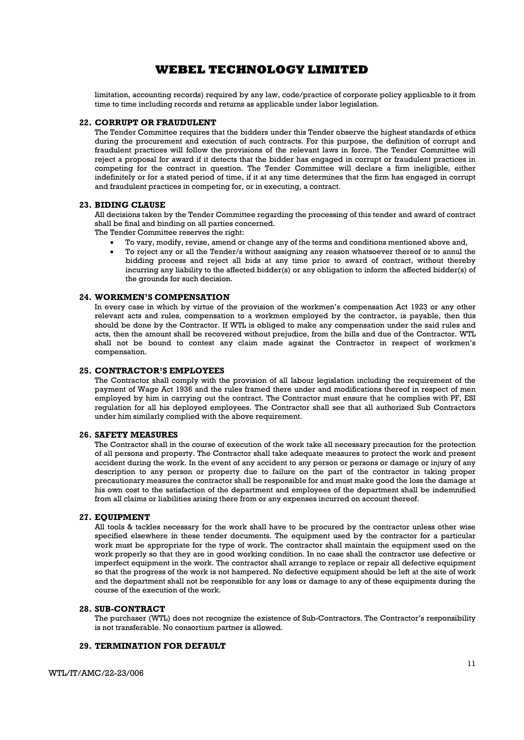limitation, accounting records) required by any law, code/practice of corporate policy applicable to it from time to time including records and returns as applicable under labor legislation.

#### 22. CORRUPT OR FRAUDULENT

The Tender Committee requires that the bidders under this Tender observe the highest standards of ethics during the procurement and execution of such contracts. For this purpose, the definition of corrupt and fraudulent practices will follow the provisions of the relevant laws in force. The Tender Committee will reject a proposal for award if it detects that the bidder has engaged in corrupt or fraudulent practices in competing for the contract in question. The Tender Committee will declare a firm ineligible, either indefinitely or for a stated period of time, if it at any time determines that the firm has engaged in corrupt and fraudulent practices in competing for, or in executing, a contract.

#### 23. BIDING CLAUSE

All decisions taken by the Tender Committee regarding the processing of this tender and award of contract shall be final and binding on all parties concerned.

The Tender Committee reserves the right:

- To vary, modify, revise, amend or change any of the terms and conditions mentioned above and,
- To reject any or all the Tender/s without assigning any reason whatsoever thereof or to annul the bidding process and reject all bids at any time prior to award of contract, without thereby incurring any liability to the affected bidder(s) or any obligation to inform the affected bidder(s) of the grounds for such decision.

#### 24. WORKMEN'S COMPENSATION

In every case in which by virtue of the provision of the workmen's compensation Act 1923 or any other relevant acts and rules, compensation to a workmen employed by the contractor, is payable, then this should be done by the Contractor. If WTL is obliged to make any compensation under the said rules and acts, then the amount shall be recovered without prejudice, from the bills and due of the Contractor. WTL shall not be bound to contest any claim made against the Contractor in respect of workmen's compensation.

### 25. CONTRACTOR'S EMPLOYEES

The Contractor shall comply with the provision of all labour legislation including the requirement of the payment of Wage Act 1936 and the rules framed there under and modifications thereof in respect of men employed by him in carrying out the contract. The Contractor must ensure that he complies with PF, ESI regulation for all his deployed employees. The Contractor shall see that all authorized Sub Contractors under him similarly complied with the above requirement.

#### 26. SAFETY MEASURES

The Contractor shall in the course of execution of the work take all necessary precaution for the protection of all persons and property. The Contractor shall take adequate measures to protect the work and present accident during the work. In the event of any accident to any person or persons or damage or injury of any description to any person or property due to failure on the part of the contractor in taking proper precautionary measures the contractor shall be responsible for and must make good the loss the damage at his own cost to the satisfaction of the department and employees of the department shall be indemnified from all claims or liabilities arising there from or any expenses incurred on account thereof.

#### 27. EQUIPMENT

All tools & tackles necessary for the work shall have to be procured by the contractor unless other wise specified elsewhere in these tender documents. The equipment used by the contractor for a particular work must be appropriate for the type of work. The contractor shall maintain the equipment used on the work properly so that they are in good working condition. In no case shall the contractor use defective or imperfect equipment in the work. The contractor shall arrange to replace or repair all defective equipment so that the progress of the work is not hampered. No defective equipment should be left at the site of work and the department shall not be responsible for any loss or damage to any of these equipments during the course of the execution of the work.

#### 28. SUB-CONTRACT

The purchaser (WTL) does not recognize the existence of Sub-Contractors. The Contractor's responsibility is not transferable. No consortium partner is allowed.

#### 29. TERMINATION FOR DEFAULT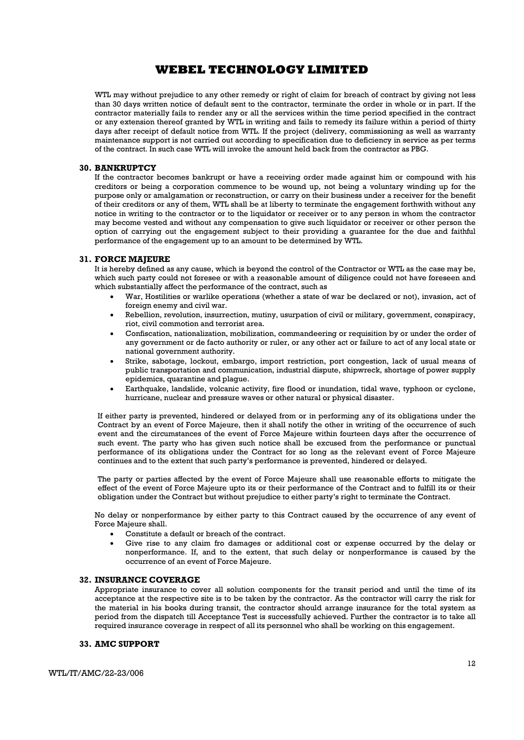WTL may without prejudice to any other remedy or right of claim for breach of contract by giving not less than 30 days written notice of default sent to the contractor, terminate the order in whole or in part. If the contractor materially fails to render any or all the services within the time period specified in the contract or any extension thereof granted by WTL in writing and fails to remedy its failure within a period of thirty days after receipt of default notice from WTL. If the project (delivery, commissioning as well as warranty maintenance support is not carried out according to specification due to deficiency in service as per terms of the contract. In such case WTL will invoke the amount held back from the contractor as PBG.

#### 30. BANKRUPTCY

If the contractor becomes bankrupt or have a receiving order made against him or compound with his creditors or being a corporation commence to be wound up, not being a voluntary winding up for the purpose only or amalgamation or reconstruction, or carry on their business under a receiver for the benefit of their creditors or any of them, WTL shall be at liberty to terminate the engagement forthwith without any notice in writing to the contractor or to the liquidator or receiver or to any person in whom the contractor may become vested and without any compensation to give such liquidator or receiver or other person the option of carrying out the engagement subject to their providing a guarantee for the due and faithful performance of the engagement up to an amount to be determined by WTL.

#### 31. FORCE MAJEURE

It is hereby defined as any cause, which is beyond the control of the Contractor or WTL as the case may be, which such party could not foresee or with a reasonable amount of diligence could not have foreseen and which substantially affect the performance of the contract, such as

- War, Hostilities or warlike operations (whether a state of war be declared or not), invasion, act of foreign enemy and civil war.
- Rebellion, revolution, insurrection, mutiny, usurpation of civil or military, government, conspiracy, riot, civil commotion and terrorist area.
- Confiscation, nationalization, mobilization, commandeering or requisition by or under the order of any government or de facto authority or ruler, or any other act or failure to act of any local state or national government authority.
- Strike, sabotage, lockout, embargo, import restriction, port congestion, lack of usual means of public transportation and communication, industrial dispute, shipwreck, shortage of power supply epidemics, quarantine and plague.
- Earthquake, landslide, volcanic activity, fire flood or inundation, tidal wave, typhoon or cyclone, hurricane, nuclear and pressure waves or other natural or physical disaster.

If either party is prevented, hindered or delayed from or in performing any of its obligations under the Contract by an event of Force Majeure, then it shall notify the other in writing of the occurrence of such event and the circumstances of the event of Force Majeure within fourteen days after the occurrence of such event. The party who has given such notice shall be excused from the performance or punctual performance of its obligations under the Contract for so long as the relevant event of Force Majeure continues and to the extent that such party's performance is prevented, hindered or delayed.

The party or parties affected by the event of Force Majeure shall use reasonable efforts to mitigate the effect of the event of Force Majeure upto its or their performance of the Contract and to fulfill its or their obligation under the Contract but without prejudice to either party's right to terminate the Contract.

No delay or nonperformance by either party to this Contract caused by the occurrence of any event of Force Majeure shall.

- Constitute a default or breach of the contract.
- Give rise to any claim fro damages or additional cost or expense occurred by the delay or nonperformance. If, and to the extent, that such delay or nonperformance is caused by the occurrence of an event of Force Majeure.

#### 32. INSURANCE COVERAGE

Appropriate insurance to cover all solution components for the transit period and until the time of its acceptance at the respective site is to be taken by the contractor. As the contractor will carry the risk for the material in his books during transit, the contractor should arrange insurance for the total system as period from the dispatch till Acceptance Test is successfully achieved. Further the contractor is to take all required insurance coverage in respect of all its personnel who shall be working on this engagement.

#### 33. AMC SUPPORT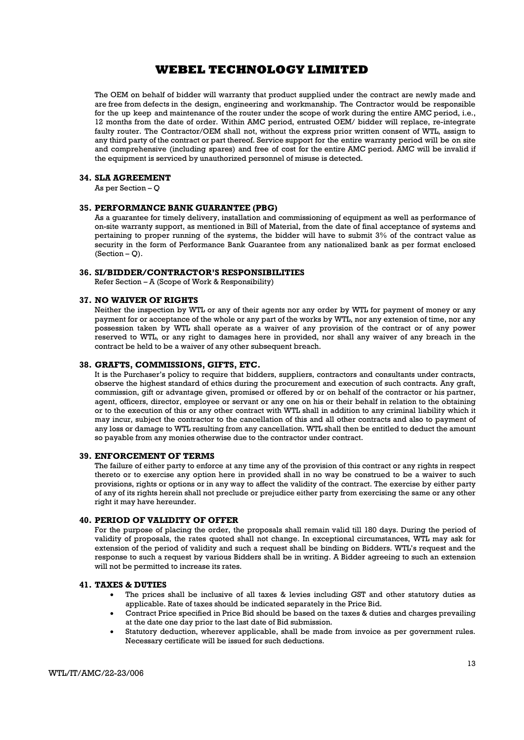The OEM on behalf of bidder will warranty that product supplied under the contract are newly made and are free from defects in the design, engineering and workmanship. The Contractor would be responsible for the up keep and maintenance of the router under the scope of work during the entire AMC period, i.e., 12 months from the date of order. Within AMC period, entrusted OEM/ bidder will replace, re-integrate faulty router. The Contractor/OEM shall not, without the express prior written consent of WTL, assign to any third party of the contract or part thereof. Service support for the entire warranty period will be on site and comprehensive (including spares) and free of cost for the entire AMC period. AMC will be invalid if the equipment is serviced by unauthorized personnel of misuse is detected.

#### 34. SLA AGREEMENT

As per Section – Q

#### 35. PERFORMANCE BANK GUARANTEE (PBG)

As a guarantee for timely delivery, installation and commissioning of equipment as well as performance of on-site warranty support, as mentioned in Bill of Material, from the date of final acceptance of systems and pertaining to proper running of the systems, the bidder will have to submit 3% of the contract value as security in the form of Performance Bank Guarantee from any nationalized bank as per format enclosed  $(Section - Q)$ .

#### 36. SI/BIDDER/CONTRACTOR'S RESPONSIBILITIES

Refer Section – A (Scope of Work & Responsibility)

#### 37. NO WAIVER OF RIGHTS

Neither the inspection by WTL or any of their agents nor any order by WTL for payment of money or any payment for or acceptance of the whole or any part of the works by WTL, nor any extension of time, nor any possession taken by WTL shall operate as a waiver of any provision of the contract or of any power reserved to WTL, or any right to damages here in provided, nor shall any waiver of any breach in the contract be held to be a waiver of any other subsequent breach.

#### 38. GRAFTS, COMMISSIONS, GIFTS, ETC.

It is the Purchaser's policy to require that bidders, suppliers, contractors and consultants under contracts, observe the highest standard of ethics during the procurement and execution of such contracts. Any graft, commission, gift or advantage given, promised or offered by or on behalf of the contractor or his partner, agent, officers, director, employee or servant or any one on his or their behalf in relation to the obtaining or to the execution of this or any other contract with WTL shall in addition to any criminal liability which it may incur, subject the contractor to the cancellation of this and all other contracts and also to payment of any loss or damage to WTL resulting from any cancellation. WTL shall then be entitled to deduct the amount so payable from any monies otherwise due to the contractor under contract.

#### 39. ENFORCEMENT OF TERMS

The failure of either party to enforce at any time any of the provision of this contract or any rights in respect thereto or to exercise any option here in provided shall in no way be construed to be a waiver to such provisions, rights or options or in any way to affect the validity of the contract. The exercise by either party of any of its rights herein shall not preclude or prejudice either party from exercising the same or any other right it may have hereunder.

#### 40. PERIOD OF VALIDITY OF OFFER

For the purpose of placing the order, the proposals shall remain valid till 180 days. During the period of validity of proposals, the rates quoted shall not change. In exceptional circumstances, WTL may ask for extension of the period of validity and such a request shall be binding on Bidders. WTL's request and the response to such a request by various Bidders shall be in writing. A Bidder agreeing to such an extension will not be permitted to increase its rates.

#### 41. TAXES & DUTIES

- The prices shall be inclusive of all taxes & levies including GST and other statutory duties as applicable. Rate of taxes should be indicated separately in the Price Bid.
- Contract Price specified in Price Bid should be based on the taxes & duties and charges prevailing at the date one day prior to the last date of Bid submission.
- Statutory deduction, wherever applicable, shall be made from invoice as per government rules. Necessary certificate will be issued for such deductions.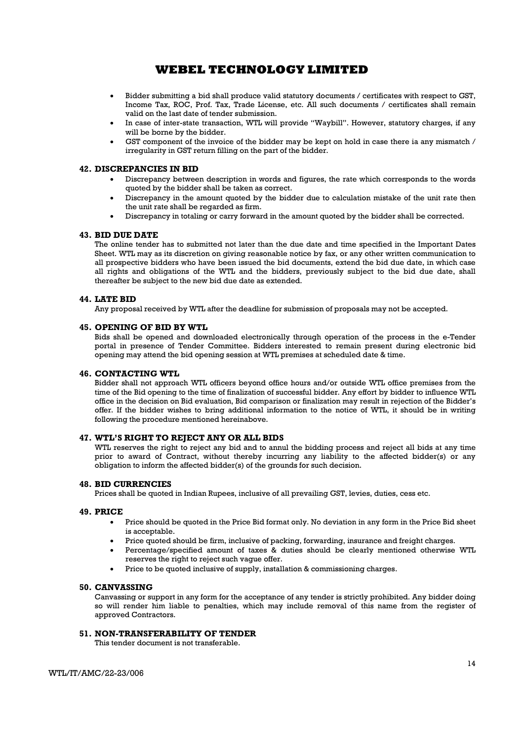- Bidder submitting a bid shall produce valid statutory documents / certificates with respect to GST, Income Tax, ROC, Prof. Tax, Trade License, etc. All such documents / certificates shall remain valid on the last date of tender submission.
- In case of inter-state transaction, WTL will provide "Waybill". However, statutory charges, if any will be borne by the bidder.
- GST component of the invoice of the bidder may be kept on hold in case there ia any mismatch / irregularity in GST return filling on the part of the bidder.

#### 42. DISCREPANCIES IN BID

- Discrepancy between description in words and figures, the rate which corresponds to the words quoted by the bidder shall be taken as correct.
- Discrepancy in the amount quoted by the bidder due to calculation mistake of the unit rate then the unit rate shall be regarded as firm.
- Discrepancy in totaling or carry forward in the amount quoted by the bidder shall be corrected.

#### 43. BID DUE DATE

The online tender has to submitted not later than the due date and time specified in the Important Dates Sheet. WTL may as its discretion on giving reasonable notice by fax, or any other written communication to all prospective bidders who have been issued the bid documents, extend the bid due date, in which case all rights and obligations of the WTL and the bidders, previously subject to the bid due date, shall thereafter be subject to the new bid due date as extended.

#### 44. LATE BID

Any proposal received by WTL after the deadline for submission of proposals may not be accepted.

#### 45. OPENING OF BID BY WTL

Bids shall be opened and downloaded electronically through operation of the process in the e-Tender portal in presence of Tender Committee. Bidders interested to remain present during electronic bid opening may attend the bid opening session at WTL premises at scheduled date & time.

### 46. CONTACTING WTL

Bidder shall not approach WTL officers beyond office hours and/or outside WTL office premises from the time of the Bid opening to the time of finalization of successful bidder. Any effort by bidder to influence WTL office in the decision on Bid evaluation, Bid comparison or finalization may result in rejection of the Bidder's offer. If the bidder wishes to bring additional information to the notice of WTL, it should be in writing following the procedure mentioned hereinabove.

#### 47. WTL'S RIGHT TO REJECT ANY OR ALL BIDS

WTL reserves the right to reject any bid and to annul the bidding process and reject all bids at any time prior to award of Contract, without thereby incurring any liability to the affected bidder(s) or any obligation to inform the affected bidder(s) of the grounds for such decision.

#### 48. BID CURRENCIES

Prices shall be quoted in Indian Rupees, inclusive of all prevailing GST, levies, duties, cess etc.

#### 49. PRICE

- Price should be quoted in the Price Bid format only. No deviation in any form in the Price Bid sheet is acceptable.
- Price quoted should be firm, inclusive of packing, forwarding, insurance and freight charges.
- Percentage/specified amount of taxes & duties should be clearly mentioned otherwise WTL reserves the right to reject such vague offer.
- Price to be quoted inclusive of supply, installation & commissioning charges.

#### 50. CANVASSING

Canvassing or support in any form for the acceptance of any tender is strictly prohibited. Any bidder doing so will render him liable to penalties, which may include removal of this name from the register of approved Contractors.

#### 51. NON-TRANSFERABILITY OF TENDER

This tender document is not transferable.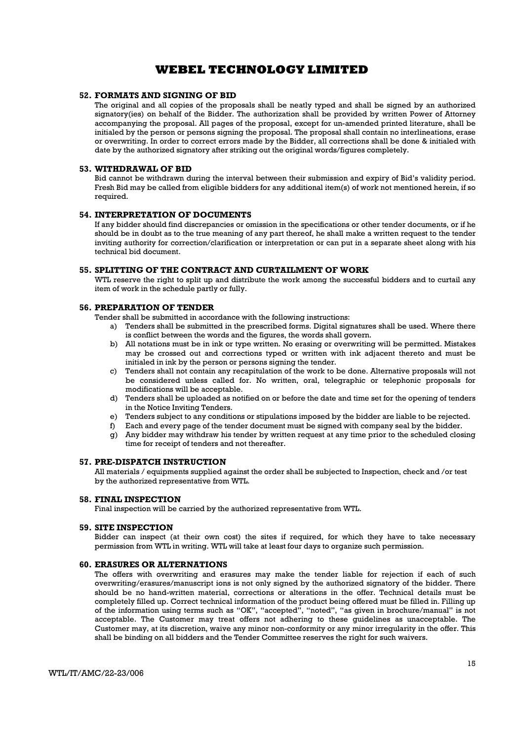#### 52. FORMATS AND SIGNING OF BID

The original and all copies of the proposals shall be neatly typed and shall be signed by an authorized signatory(ies) on behalf of the Bidder. The authorization shall be provided by written Power of Attorney accompanying the proposal. All pages of the proposal, except for un-amended printed literature, shall be initialed by the person or persons signing the proposal. The proposal shall contain no interlineations, erase or overwriting. In order to correct errors made by the Bidder, all corrections shall be done & initialed with date by the authorized signatory after striking out the original words/figures completely.

#### 53. WITHDRAWAL OF BID

Bid cannot be withdrawn during the interval between their submission and expiry of Bid's validity period. Fresh Bid may be called from eligible bidders for any additional item(s) of work not mentioned herein, if so required.

#### 54. INTERPRETATION OF DOCUMENTS

If any bidder should find discrepancies or omission in the specifications or other tender documents, or if he should be in doubt as to the true meaning of any part thereof, he shall make a written request to the tender inviting authority for correction/clarification or interpretation or can put in a separate sheet along with his technical bid document.

#### 55. SPLITTING OF THE CONTRACT AND CURTAILMENT OF WORK

WTL reserve the right to split up and distribute the work among the successful bidders and to curtail any item of work in the schedule partly or fully.

## 56. PREPARATION OF TENDER

Tender shall be submitted in accordance with the following instructions:

- a) Tenders shall be submitted in the prescribed forms. Digital signatures shall be used. Where there is conflict between the words and the figures, the words shall govern.
- b) All notations must be in ink or type written. No erasing or overwriting will be permitted. Mistakes may be crossed out and corrections typed or written with ink adjacent thereto and must be initialed in ink by the person or persons signing the tender.
- c) Tenders shall not contain any recapitulation of the work to be done. Alternative proposals will not be considered unless called for. No written, oral, telegraphic or telephonic proposals for modifications will be acceptable.
- d) Tenders shall be uploaded as notified on or before the date and time set for the opening of tenders in the Notice Inviting Tenders.
- e) Tenders subject to any conditions or stipulations imposed by the bidder are liable to be rejected.
- f) Each and every page of the tender document must be signed with company seal by the bidder.
- g) Any bidder may withdraw his tender by written request at any time prior to the scheduled closing time for receipt of tenders and not thereafter.

#### 57. PRE-DISPATCH INSTRUCTION

All materials / equipments supplied against the order shall be subjected to Inspection, check and /or test by the authorized representative from WTL.

#### 58. FINAL INSPECTION

Final inspection will be carried by the authorized representative from WTL.

#### 59. SITE INSPECTION

Bidder can inspect (at their own cost) the sites if required, for which they have to take necessary permission from WTL in writing. WTL will take at least four days to organize such permission.

#### 60. ERASURES OR ALTERNATIONS

The offers with overwriting and erasures may make the tender liable for rejection if each of such overwriting/erasures/manuscript ions is not only signed by the authorized signatory of the bidder. There should be no hand-written material, corrections or alterations in the offer. Technical details must be completely filled up. Correct technical information of the product being offered must be filled in. Filling up of the information using terms such as "OK", "accepted", "noted", "as given in brochure/manual" is not acceptable. The Customer may treat offers not adhering to these guidelines as unacceptable. The Customer may, at its discretion, waive any minor non-conformity or any minor irregularity in the offer. This shall be binding on all bidders and the Tender Committee reserves the right for such waivers.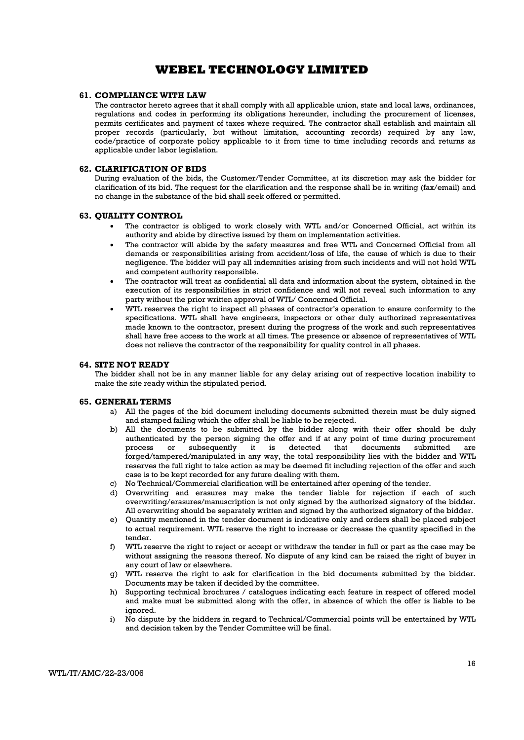#### 61. COMPLIANCE WITH LAW

The contractor hereto agrees that it shall comply with all applicable union, state and local laws, ordinances, regulations and codes in performing its obligations hereunder, including the procurement of licenses, permits certificates and payment of taxes where required. The contractor shall establish and maintain all proper records (particularly, but without limitation, accounting records) required by any law, code/practice of corporate policy applicable to it from time to time including records and returns as applicable under labor legislation.

#### 62. CLARIFICATION OF BIDS

During evaluation of the bids, the Customer/Tender Committee, at its discretion may ask the bidder for clarification of its bid. The request for the clarification and the response shall be in writing (fax/email) and no change in the substance of the bid shall seek offered or permitted.

#### 63. QUALITY CONTROL

- The contractor is obliged to work closely with WTL and/or Concerned Official, act within its authority and abide by directive issued by them on implementation activities.
- The contractor will abide by the safety measures and free WTL and Concerned Official from all demands or responsibilities arising from accident/loss of life, the cause of which is due to their negligence. The bidder will pay all indemnities arising from such incidents and will not hold WTL and competent authority responsible.
- The contractor will treat as confidential all data and information about the system, obtained in the execution of its responsibilities in strict confidence and will not reveal such information to any party without the prior written approval of WTL/ Concerned Official.
- WTL reserves the right to inspect all phases of contractor's operation to ensure conformity to the specifications. WTL shall have engineers, inspectors or other duly authorized representatives made known to the contractor, present during the progress of the work and such representatives shall have free access to the work at all times. The presence or absence of representatives of WTL does not relieve the contractor of the responsibility for quality control in all phases.

#### 64. SITE NOT READY

The bidder shall not be in any manner liable for any delay arising out of respective location inability to make the site ready within the stipulated period.

#### 65. GENERAL TERMS

- a) All the pages of the bid document including documents submitted therein must be duly signed and stamped failing which the offer shall be liable to be rejected.
- b) All the documents to be submitted by the bidder along with their offer should be duly authenticated by the person signing the offer and if at any point of time during procurement process or subsequently it is detected that documents submitted are forged/tampered/manipulated in any way, the total responsibility lies with the bidder and WTL reserves the full right to take action as may be deemed fit including rejection of the offer and such case is to be kept recorded for any future dealing with them.
- c) No Technical/Commercial clarification will be entertained after opening of the tender.
- d) Overwriting and erasures may make the tender liable for rejection if each of such overwriting/erasures/manuscription is not only signed by the authorized signatory of the bidder. All overwriting should be separately written and signed by the authorized signatory of the bidder.
- e) Quantity mentioned in the tender document is indicative only and orders shall be placed subject to actual requirement. WTL reserve the right to increase or decrease the quantity specified in the tender.
- f) WTL reserve the right to reject or accept or withdraw the tender in full or part as the case may be without assigning the reasons thereof. No dispute of any kind can be raised the right of buyer in any court of law or elsewhere.
- g) WTL reserve the right to ask for clarification in the bid documents submitted by the bidder. Documents may be taken if decided by the committee.
- h) Supporting technical brochures / catalogues indicating each feature in respect of offered model and make must be submitted along with the offer, in absence of which the offer is liable to be ignored.
- i) No dispute by the bidders in regard to Technical/Commercial points will be entertained by WTL and decision taken by the Tender Committee will be final.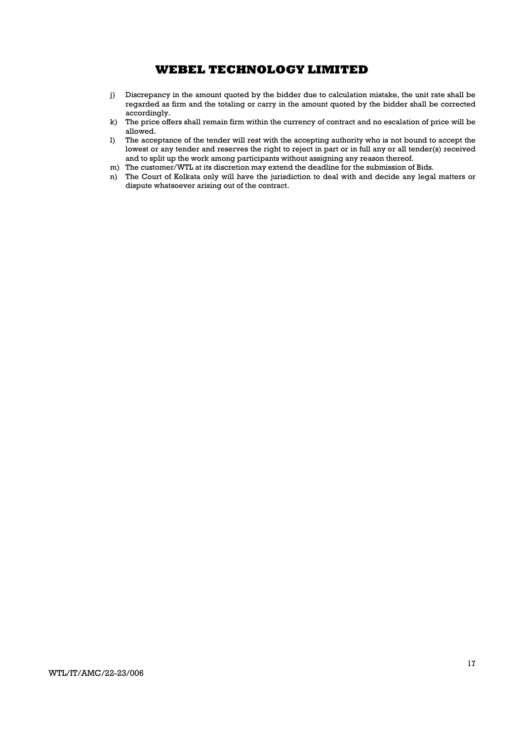- j) Discrepancy in the amount quoted by the bidder due to calculation mistake, the unit rate shall be regarded as firm and the totaling or carry in the amount quoted by the bidder shall be corrected accordingly.
- k) The price offers shall remain firm within the currency of contract and no escalation of price will be allowed.
- l) The acceptance of the tender will rest with the accepting authority who is not bound to accept the lowest or any tender and reserves the right to reject in part or in full any or all tender(s) received and to split up the work among participants without assigning any reason thereof.
- m) The customer/WTL at its discretion may extend the deadline for the submission of Bids.
- n) The Court of Kolkata only will have the jurisdiction to deal with and decide any legal matters or dispute whatsoever arising out of the contract.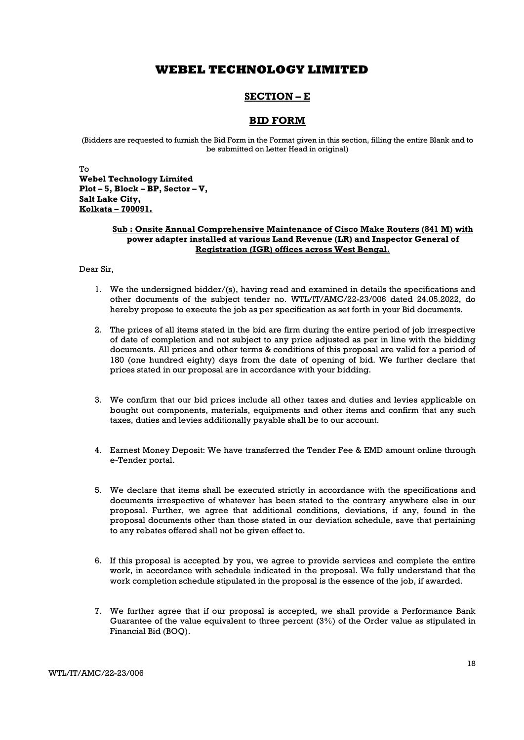## SECTION – E

## BID FORM

(Bidders are requested to furnish the Bid Form in the Format given in this section, filling the entire Blank and to be submitted on Letter Head in original)

To Webel Technology Limited Plot – 5, Block – BP, Sector – V, Salt Lake City, Kolkata – 700091.

### Sub : Onsite Annual Comprehensive Maintenance of Cisco Make Routers (841 M) with power adapter installed at various Land Revenue (LR) and Inspector General of Registration (IGR) offices across West Bengal.

### Dear Sir,

- 1. We the undersigned bidder/(s), having read and examined in details the specifications and other documents of the subject tender no. WTL/IT/AMC/22-23/006 dated 24.05.2022, do hereby propose to execute the job as per specification as set forth in your Bid documents.
- 2. The prices of all items stated in the bid are firm during the entire period of job irrespective of date of completion and not subject to any price adjusted as per in line with the bidding documents. All prices and other terms & conditions of this proposal are valid for a period of 180 (one hundred eighty) days from the date of opening of bid. We further declare that prices stated in our proposal are in accordance with your bidding.
- 3. We confirm that our bid prices include all other taxes and duties and levies applicable on bought out components, materials, equipments and other items and confirm that any such taxes, duties and levies additionally payable shall be to our account.
- 4. Earnest Money Deposit: We have transferred the Tender Fee & EMD amount online through e-Tender portal.
- 5. We declare that items shall be executed strictly in accordance with the specifications and documents irrespective of whatever has been stated to the contrary anywhere else in our proposal. Further, we agree that additional conditions, deviations, if any, found in the proposal documents other than those stated in our deviation schedule, save that pertaining to any rebates offered shall not be given effect to.
- 6. If this proposal is accepted by you, we agree to provide services and complete the entire work, in accordance with schedule indicated in the proposal. We fully understand that the work completion schedule stipulated in the proposal is the essence of the job, if awarded.
- 7. We further agree that if our proposal is accepted, we shall provide a Performance Bank Guarantee of the value equivalent to three percent (3%) of the Order value as stipulated in Financial Bid (BOQ).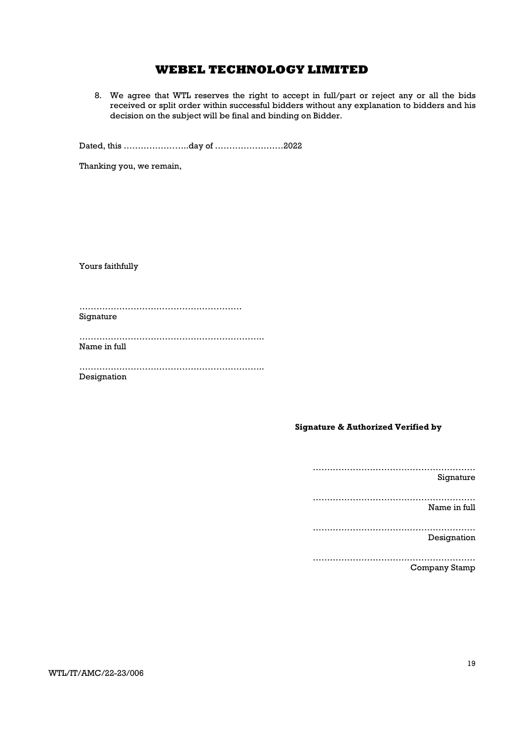8. We agree that WTL reserves the right to accept in full/part or reject any or all the bids received or split order within successful bidders without any explanation to bidders and his decision on the subject will be final and binding on Bidder.

Dated, this …………………..day of ……………………2022

Thanking you, we remain,

Yours faithfully

………………………………………………… Signature

……………………………………………………….. Name in full

……………………………………………………….. Designation

## Signature & Authorized Verified by

………………………………………………… Signature ………………………………………………… Name in full ………………………………………………… Designation ………………………………………………… Company Stamp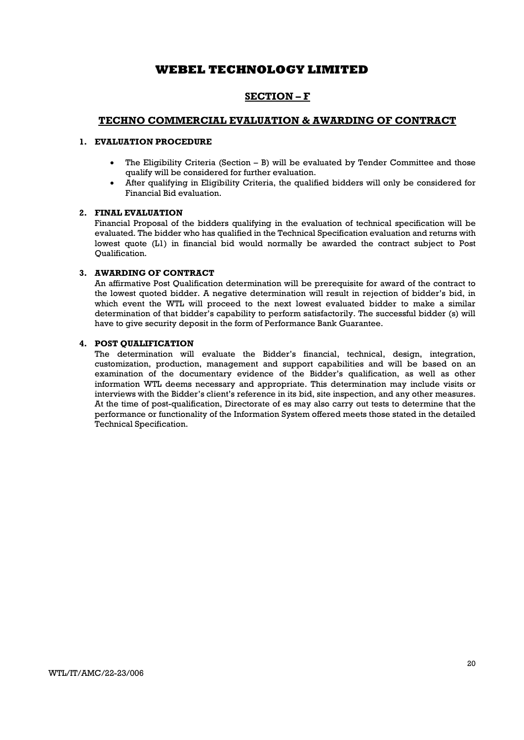## SECTION – F

## TECHNO COMMERCIAL EVALUATION & AWARDING OF CONTRACT

## 1. EVALUATION PROCEDURE

- The Eligibility Criteria (Section  $-$  B) will be evaluated by Tender Committee and those qualify will be considered for further evaluation.
- After qualifying in Eligibility Criteria, the qualified bidders will only be considered for Financial Bid evaluation.

#### 2. FINAL EVALUATION

Financial Proposal of the bidders qualifying in the evaluation of technical specification will be evaluated. The bidder who has qualified in the Technical Specification evaluation and returns with lowest quote (L1) in financial bid would normally be awarded the contract subject to Post Qualification.

### 3. AWARDING OF CONTRACT

An affirmative Post Qualification determination will be prerequisite for award of the contract to the lowest quoted bidder. A negative determination will result in rejection of bidder's bid, in which event the WTL will proceed to the next lowest evaluated bidder to make a similar determination of that bidder's capability to perform satisfactorily. The successful bidder (s) will have to give security deposit in the form of Performance Bank Guarantee.

## 4. POST QUALIFICATION

The determination will evaluate the Bidder's financial, technical, design, integration, customization, production, management and support capabilities and will be based on an examination of the documentary evidence of the Bidder's qualification, as well as other information WTL deems necessary and appropriate. This determination may include visits or interviews with the Bidder's client's reference in its bid, site inspection, and any other measures. At the time of post-qualification, Directorate of es may also carry out tests to determine that the performance or functionality of the Information System offered meets those stated in the detailed Technical Specification.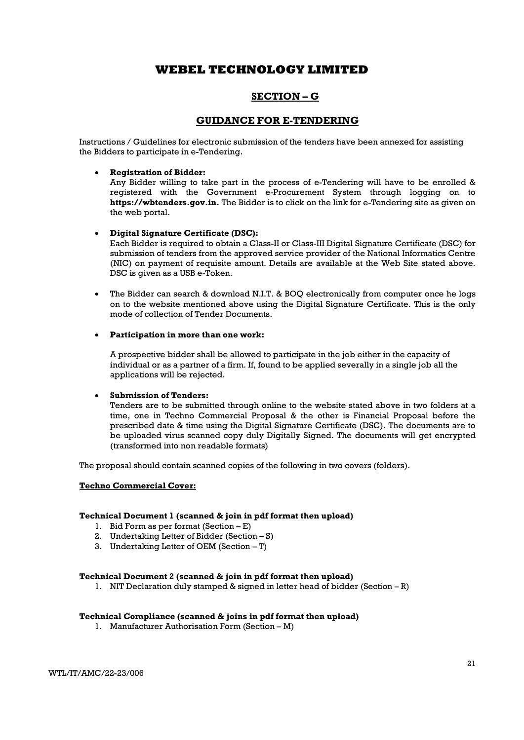## SECTION – G

## GUIDANCE FOR E-TENDERING

Instructions / Guidelines for electronic submission of the tenders have been annexed for assisting the Bidders to participate in e-Tendering.

### Registration of Bidder:

Any Bidder willing to take part in the process of e-Tendering will have to be enrolled & registered with the Government e-Procurement System through logging on to https://wbtenders.gov.in. The Bidder is to click on the link for e-Tendering site as given on the web portal.

#### Digital Signature Certificate (DSC):

Each Bidder is required to obtain a Class-II or Class-III Digital Signature Certificate (DSC) for submission of tenders from the approved service provider of the National Informatics Centre (NIC) on payment of requisite amount. Details are available at the Web Site stated above. DSC is given as a USB e-Token.

 The Bidder can search & download N.I.T. & BOQ electronically from computer once he logs on to the website mentioned above using the Digital Signature Certificate. This is the only mode of collection of Tender Documents.

#### Participation in more than one work:

A prospective bidder shall be allowed to participate in the job either in the capacity of individual or as a partner of a firm. If, found to be applied severally in a single job all the applications will be rejected.

#### Submission of Tenders:

Tenders are to be submitted through online to the website stated above in two folders at a time, one in Techno Commercial Proposal & the other is Financial Proposal before the prescribed date & time using the Digital Signature Certificate (DSC). The documents are to be uploaded virus scanned copy duly Digitally Signed. The documents will get encrypted (transformed into non readable formats)

The proposal should contain scanned copies of the following in two covers (folders).

#### Techno Commercial Cover:

#### Technical Document 1 (scanned & join in pdf format then upload)

- 1. Bid Form as per format (Section E)
- 2. Undertaking Letter of Bidder (Section S)
- 3. Undertaking Letter of OEM (Section T)

#### Technical Document 2 (scanned & join in pdf format then upload)

1. NIT Declaration duly stamped & signed in letter head of bidder (Section – R)

#### Technical Compliance (scanned & joins in pdf format then upload)

1. Manufacturer Authorisation Form (Section – M)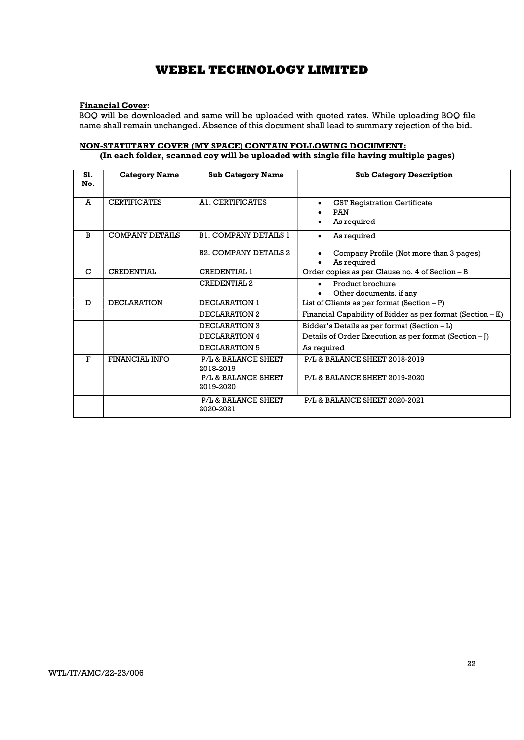### Financial Cover:

BOQ will be downloaded and same will be uploaded with quoted rates. While uploading BOQ file name shall remain unchanged. Absence of this document shall lead to summary rejection of the bid.

### NON-STATUTARY COVER (MY SPACE) CONTAIN FOLLOWING DOCUMENT: (In each folder, scanned coy will be uploaded with single file having multiple pages)

| S1.<br>No. | <b>Category Name</b>   | <b>Sub Category Name</b>         | <b>Sub Category Description</b>                                     |
|------------|------------------------|----------------------------------|---------------------------------------------------------------------|
| A          | <b>CERTIFICATES</b>    | AL CERTIFICATES                  | <b>GST Registration Certificate</b><br><b>PAN</b><br>As required    |
| B          | <b>COMPANY DETAILS</b> | <b>BL COMPANY DETAILS 1</b>      | As required<br>$\bullet$                                            |
|            |                        | <b>B2. COMPANY DETAILS 2</b>     | Company Profile (Not more than 3 pages)<br>$\bullet$<br>As required |
| C          | <b>CREDENTIAL</b>      | CREDENTIAL 1                     | Order copies as per Clause no. 4 of Section - B                     |
|            |                        | <b>CREDENTIAL 2</b>              | Product brochure<br>$\bullet$<br>Other documents, if any            |
| D          | <b>DECLARATION</b>     | DECLARATION 1                    | List of Clients as per format $(Section - P)$                       |
|            |                        | DECLARATION 2                    | Financial Capability of Bidder as per format $(Section - K)$        |
|            |                        | DECLARATION 3                    | Bidder's Details as per format (Section - L)                        |
|            |                        | DECLARATION 4                    | Details of Order Execution as per format (Section – [)              |
|            |                        | DECLARATION 5                    | As required                                                         |
| F          | FINANCIAL INFO         | P/L & BALANCE SHEET<br>2018-2019 | P/L & BALANCE SHEET 2018-2019                                       |
|            |                        | P/L & BALANCE SHEET<br>2019-2020 | P/L & BALANCE SHEET 2019-2020                                       |
|            |                        | P/L & BALANCE SHEET<br>2020-2021 | P/L& BALANCE SHEET 2020-2021                                        |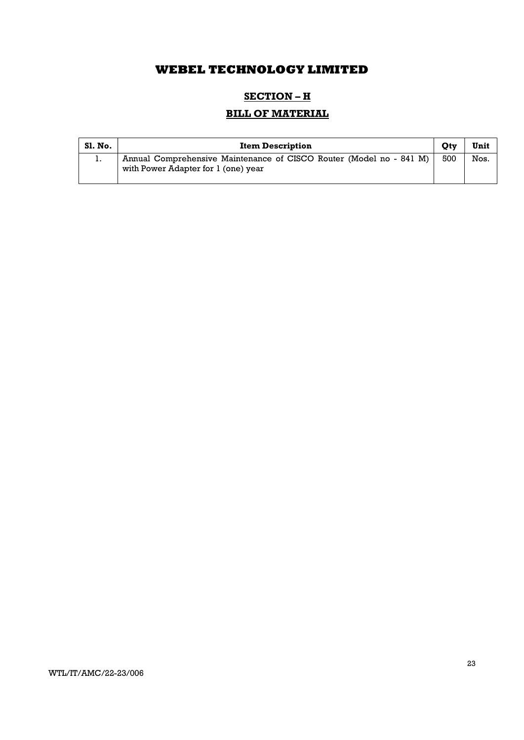## SECTION – H

# BILL OF MATERIAL

| Sl. No. | <b>Item Description</b>                                                                                    |     | Unit |
|---------|------------------------------------------------------------------------------------------------------------|-----|------|
| 1.      | Annual Comprehensive Maintenance of CISCO Router (Model no - 841 M)<br>with Power Adapter for 1 (one) year | 500 | Nos. |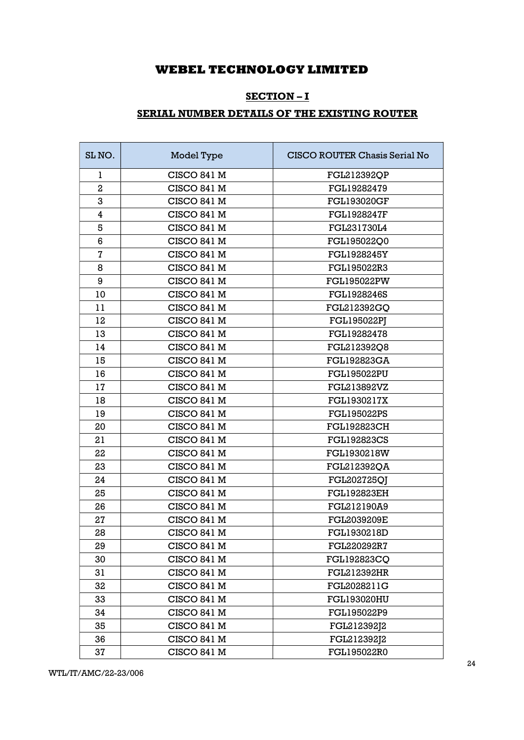## SECTION – I

# SERIAL NUMBER DETAILS OF THE EXISTING ROUTER

| SL NO.                  | Model Type         | CISCO ROUTER Chasis Serial No |
|-------------------------|--------------------|-------------------------------|
| 1                       | <b>CISCO 841 M</b> | FGL212392QP                   |
| $\overline{2}$          | CISCO 841 M        | FGL19282479                   |
| 3                       | <b>CISCO 841 M</b> | <b>FGL193020GF</b>            |
| $\overline{\mathbf{4}}$ | <b>CISCO 841 M</b> | <b>FGL1928247F</b>            |
| 5                       | <b>CISCO 841 M</b> | FGL231730L4                   |
| 6                       | CISCO 841 M        | FGL195022Q0                   |
| $\bf 7$                 | <b>CISCO 841 M</b> | <b>FGL1928245Y</b>            |
| 8                       | CISCO 841 M        | FGL195022R3                   |
| 9                       | <b>CISCO 841 M</b> | <b>FGL195022PW</b>            |
| 10                      | <b>CISCO 841 M</b> | FGL1928246S                   |
| 11                      | <b>CISCO 841 M</b> | FGL212392GQ                   |
| 12                      | CISCO 841 M        | <b>FGL195022PJ</b>            |
| 13                      | CISCO 841 M        | FGL19282478                   |
| 14                      | <b>CISCO 841 M</b> | FGL212392Q8                   |
| 15                      | <b>CISCO 841 M</b> | <b>FGL192823GA</b>            |
| 16                      | CISCO 841 M        | <b>FGL195022PU</b>            |
| 17                      | <b>CISCO 841 M</b> | FGL213892VZ                   |
| 18                      | <b>CISCO 841 M</b> | FGL1930217X                   |
| 19                      | CISCO 841 M        | <b>FGL195022PS</b>            |
| 20                      | CISCO 841 M        | <b>FGL192823CH</b>            |
| 21                      | <b>CISCO 841 M</b> | <b>FGL192823CS</b>            |
| 22                      | <b>CISCO 841 M</b> | FGL1930218W                   |
| 23                      | CISCO 841 M        | FGL212392QA                   |
| 24                      | <b>CISCO 841 M</b> | FGL202725QJ                   |
| 25                      | <b>CISCO 841 M</b> | <b>FGL192823EH</b>            |
| 26                      | CISCO 841 M        | FGL212190A9                   |
| 27                      | <b>CISCO 841 M</b> | <b>FGL2039209E</b>            |
| 28                      | <b>CISCO 841 M</b> | FGL1930218D                   |
| 29                      | CISCO 841 M        | FGL220292R7                   |
| 30                      | <b>CISCO 841 M</b> | FGL192823CQ                   |
| 31                      | <b>CISCO 841 M</b> | FGL212392HR                   |
| 32                      | CISCO 841 M        | FGL2028211G                   |
| 33                      | CISCO 841 M        | <b>FGL193020HU</b>            |
| 34                      | CISCO 841 M        | FGL195022P9                   |
| 35                      | CISCO 841 M        | FGL212392J2                   |
| 36                      | CISCO 841 M        | FGL212392J2                   |
| 37                      | CISCO 841 M        | FGL195022R0                   |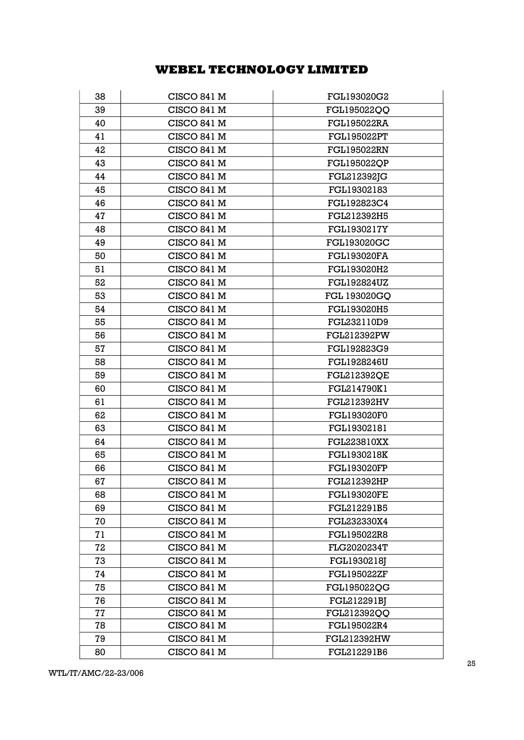| 38 | CISCO 841 M        | FGL193020G2        |
|----|--------------------|--------------------|
| 39 | <b>CISCO 841 M</b> | FGL195022QQ        |
| 40 | CISCO 841 M        | <b>FGL195022RA</b> |
| 41 | CISCO 841 M        | <b>FGL195022PT</b> |
| 42 | CISCO 841 M        | <b>FGL195022RN</b> |
| 43 | CISCO 841 M        | <b>FGL195022QP</b> |
| 44 | CISCO 841 M        | FGL212392JG        |
| 45 | <b>CISCO 841 M</b> | FGL19302183        |
| 46 | <b>CISCO 841 M</b> | FGL192823C4        |
| 47 | CISCO 841 M        | FGL212392H5        |
| 48 | CISCO 841 M        | <b>FGL1930217Y</b> |
| 49 | CISCO 841 M        | <b>FGL193020GC</b> |
| 50 | CISCO 841 M        | <b>FGL193020FA</b> |
| 51 | CISCO 841 M        | FGL193020H2        |
| 52 | CISCO 841 M        | <b>FGL192824UZ</b> |
| 53 | CISCO 841 M        | FGL 193020GQ       |
| 54 | CISCO 841 M        | FGL193020H5        |
| 55 | CISCO 841 M        | FGL232110D9        |
| 56 | CISCO 841 M        | <b>FGL212392PW</b> |
| 57 | CISCO 841 M        | FGL192823G9        |
| 58 | <b>CISCO 841 M</b> | FGL1928246U        |
| 59 | CISCO 841 M        | <b>FGL212392QE</b> |
| 60 | CISCO 841 M        | FGL214790K1        |
| 61 | CISCO 841 M        | FGL212392HV        |
| 62 | <b>CISCO 841 M</b> | FGL193020F0        |
| 63 | CISCO 841 M        | FGL19302181        |
| 64 | <b>CISCO 841 M</b> | <b>FGL223810XX</b> |
| 65 | CISCO 841 M        | <b>FGL1930218K</b> |
| 66 | CISCO 841 M        | <b>FGL193020FP</b> |
| 67 | CISCO 841 M        | FGL212392HP        |
| 68 | CISCO 841 M        | <b>FGL193020FE</b> |
| 69 | CISCO 841 M        | FGL212291B5        |
| 70 | CISCO 841 M        | FGL232330X4        |
| 71 | <b>CISCO 841 M</b> | FGL195022R8        |
| 72 | CISCO 841 M        | FLG2020234T        |
| 73 | CISCO 841 M        | FGL1930218J        |
| 74 | CISCO 841 M        | <b>FGL195022ZF</b> |
| 75 | <b>CISCO 841 M</b> | FGL195022QG        |
| 76 | CISCO 841 M        | FGL212291BJ        |
| 77 | CISCO 841 M        | FGL212392QQ        |
| 78 | CISCO 841 M        | FGL195022R4        |
| 79 | CISCO 841 M        | <b>FGL212392HW</b> |
| 80 | CISCO 841 M        | FGL212291B6        |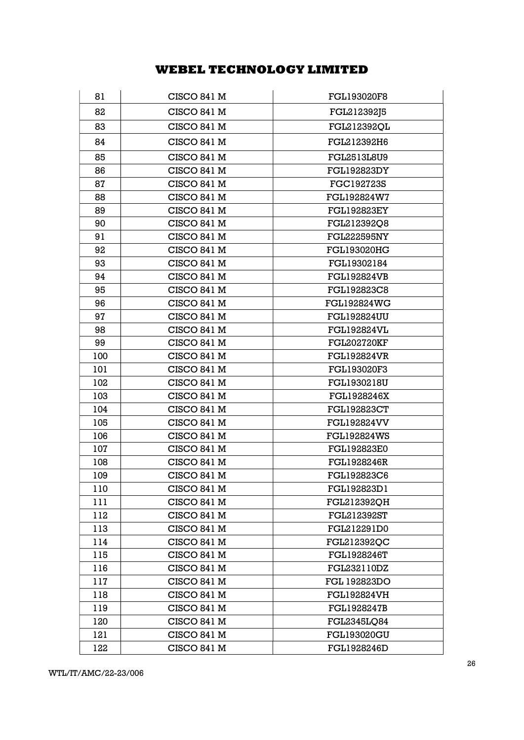| 81  | CISCO 841 M        | <b>FGL193020F8</b> |
|-----|--------------------|--------------------|
| 82  | <b>CISCO 841 M</b> | FGL212392J5        |
| 83  | CISCO 841 M        | FGL212392QL        |
| 84  | CISCO 841 M        | FGL212392H6        |
| 85  | CISCO 841 M        | <b>FGL2513L8U9</b> |
| 86  | CISCO 841 M        | <b>FGL192823DY</b> |
| 87  | CISCO 841 M        | FGC192723S         |
| 88  | CISCO 841 M        | FGL192824W7        |
| 89  | CISCO 841 M        | <b>FGL192823EY</b> |
| 90  | CISCO 841 M        | FGL212392Q8        |
| 91  | CISCO 841 M        | <b>FGL222595NY</b> |
| 92  | CISCO 841 M        | <b>FGL193020HG</b> |
| 93  | <b>CISCO 841 M</b> | FGL19302184        |
| 94  | CISCO 841 M        | <b>FGL192824VB</b> |
| 95  | CISCO 841 M        | FGL192823C8        |
| 96  | <b>CISCO 841 M</b> | <b>FGL192824WG</b> |
| 97  | <b>CISCO 841 M</b> | <b>FGL192824UU</b> |
| 98  | CISCO 841 M        | <b>FGL192824VL</b> |
| 99  | CISCO 841 M        | <b>FGL202720KF</b> |
| 100 | <b>CISCO 841 M</b> | <b>FGL192824VR</b> |
| 101 | CISCO 841 M        | FGL193020F3        |
| 102 | CISCO 841 M        | FGL1930218U        |
| 103 | CISCO 841 M        | FGL1928246X        |
| 104 | CISCO 841 M        | <b>FGL192823CT</b> |
| 105 | CISCO 841 M        | <b>FGL192824VV</b> |
| 106 | CISCO 841 M        | <b>FGL192824WS</b> |
| 107 | CISCO 841 M        | <b>FGL192823E0</b> |
| 108 | CISCO 841 M        | <b>FGL1928246R</b> |
| 109 | CISCO 841 M        | FGL192823C6        |
| 110 | CISCO 841 M        | FGL192823D1        |
| 111 | CISCO 841 M        | FGL212392QH        |
| 112 | <b>CISCO 841 M</b> | <b>FGL212392ST</b> |
| 113 | CISCO 841 M        | FGL212291D0        |
| 114 | <b>CISCO 841 M</b> | FGL212392OC        |
| 115 | CISCO 841 M        | FGL1928246T        |
| 116 | CISCO 841 M        | FGL232110DZ        |
| 117 | CISCO 841 M        | FGL 192823DO       |
| 118 | <b>CISCO 841 M</b> | <b>FGL192824VH</b> |
| 119 | CISCO 841 M        | FGL1928247B        |
| 120 | CISCO 841 M        | <b>FGL2345LQ84</b> |
| 121 | CISCO 841 M        | <b>FGL193020GU</b> |
| 122 | CISCO 841 M        | FGL1928246D        |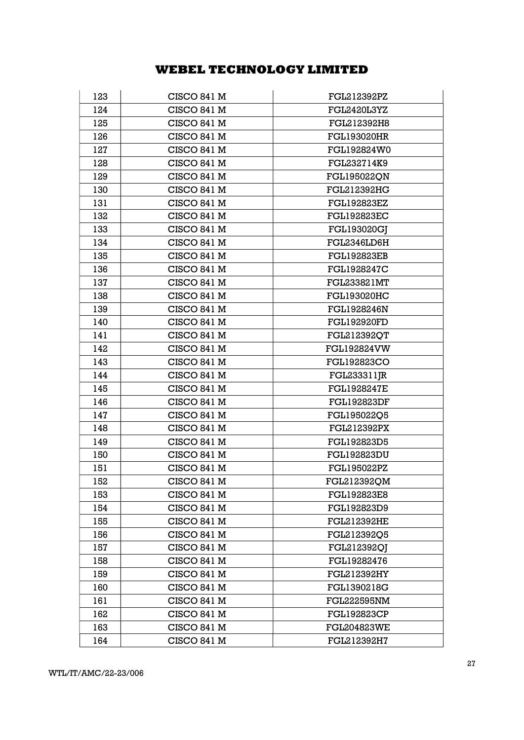| 123 | CISCO 841 M        | FGL212392PZ        |
|-----|--------------------|--------------------|
| 124 | CISCO 841 M        | FGL2420L3YZ        |
| 125 | CISCO 841 M        | FGL212392H8        |
| 126 | CISCO 841 M        | <b>FGL193020HR</b> |
| 127 | <b>CISCO 841 M</b> | FGL192824W0        |
| 128 | CISCO 841 M        | FGL232714K9        |
| 129 | CISCO 841 M        | FGL195022QN        |
| 130 | CISCO 841 M        | <b>FGL212392HG</b> |
| 131 | CISCO 841 M        | <b>FGL192823EZ</b> |
| 132 | CISCO 841 M        | <b>FGL192823EC</b> |
| 133 | CISCO 841 M        | <b>FGL193020GJ</b> |
| 134 | <b>CISCO 841 M</b> | FGL2346LD6H        |
| 135 | <b>CISCO 841 M</b> | <b>FGL192823EB</b> |
| 136 | <b>CISCO 841 M</b> | <b>FGL1928247C</b> |
| 137 | <b>CISCO 841 M</b> | FGL233821MT        |
| 138 | CISCO 841 M        | <b>FGL193020HC</b> |
| 139 | <b>CISCO 841 M</b> | <b>FGL1928246N</b> |
| 140 | CISCO 841 M        | <b>FGL192920FD</b> |
| 141 | CISCO 841 M        | FGL212392QT        |
| 142 | CISCO 841 M        | <b>FGL192824VW</b> |
| 143 | CISCO 841 M        | <b>FGL192823CO</b> |
| 144 | CISCO 841 M        | FGL233311JR        |
| 145 | CISCO 841 M        | <b>FGL1928247E</b> |
| 146 | CISCO 841 M        | <b>FGL192823DF</b> |
| 147 | CISCO 841 M        | FGL195022Q5        |
| 148 | CISCO 841 M        | <b>FGL212392PX</b> |
| 149 | CISCO 841 M        | FGL192823D5        |
| 150 | <b>CISCO 841 M</b> | <b>FGL192823DU</b> |
| 151 | CISCO 841 M        | <b>FGL195022PZ</b> |
| 152 | CISCO 841 M        | FGL212392QM        |
| 153 | CISCO 841 M        | <b>FGL192823E8</b> |
| 154 | CISCO 841 M        | FGL192823D9        |
| 155 | <b>CISCO 841 M</b> | <b>FGL212392HE</b> |
| 156 | <b>CISCO 841 M</b> | FGL212392Q5        |
| 157 | CISCO 841 M        | FGL212392QI        |
| 158 | CISCO 841 M        | FGL19282476        |
| 159 | CISCO 841 M        | <b>FGL212392HY</b> |
| 160 | CISCO 841 M        | FGL1390218G        |
| 161 | CISCO 841 M        | <b>FGL222595NM</b> |
| 162 | CISCO 841 M        | <b>FGL192823CP</b> |
| 163 | CISCO 841 M        | <b>FGL204823WE</b> |
| 164 | CISCO 841 M        | FGL212392H7        |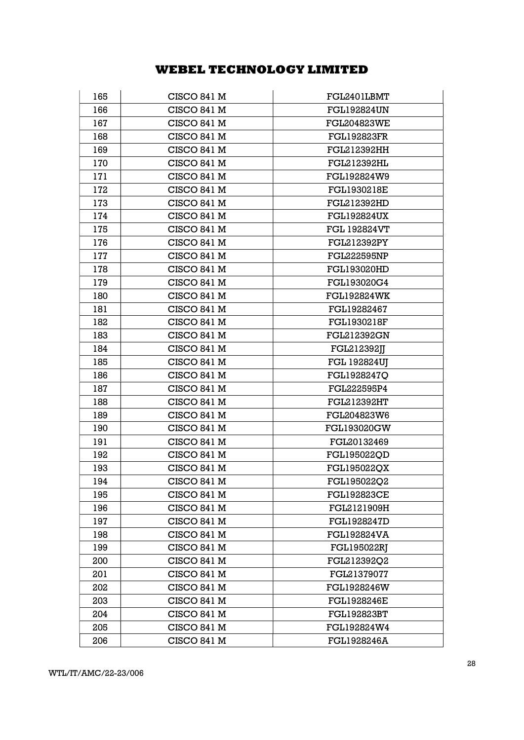| 165 | CISCO 841 M        | FGL2401LBMT         |
|-----|--------------------|---------------------|
| 166 | CISCO 841 M        | <b>FGL192824UN</b>  |
| 167 | CISCO 841 M        | <b>FGL204823WE</b>  |
| 168 | CISCO 841 M        | <b>FGL192823FR</b>  |
| 169 | <b>CISCO 841 M</b> | FGL212392HH         |
| 170 | CISCO 841 M        | <b>FGL212392HL</b>  |
| 171 | CISCO 841 M        | FGL192824W9         |
| 172 | CISCO 841 M        | <b>FGL1930218E</b>  |
| 173 | CISCO 841 M        | FGL212392HD         |
| 174 | CISCO 841 M        | <b>FGL192824UX</b>  |
| 175 | CISCO 841 M        | <b>FGL 192824VT</b> |
| 176 | <b>CISCO 841 M</b> | <b>FGL212392PY</b>  |
| 177 | CISCO 841 M        | <b>FGL222595NP</b>  |
| 178 | CISCO 841 M        | <b>FGL193020HD</b>  |
| 179 | CISCO 841 M        | FGL193020G4         |
| 180 | CISCO 841 M        | <b>FGL192824WK</b>  |
| 181 | CISCO 841 M        | FGL19282467         |
| 182 | <b>CISCO 841 M</b> | <b>FGL1930218F</b>  |
| 183 | CISCO 841 M        | <b>FGL212392GN</b>  |
| 184 | CISCO 841 M        | FGL212392JJ         |
| 185 | CISCO 841 M        | <b>FGL 192824UJ</b> |
| 186 | CISCO 841 M        | FGL1928247Q         |
| 187 | CISCO 841 M        | FGL222595P4         |
| 188 | CISCO 841 M        | <b>FGL212392HT</b>  |
| 189 | CISCO 841 M        | FGL204823W6         |
| 190 | CISCO 841 M        | <b>FGL193020GW</b>  |
| 191 | <b>CISCO 841 M</b> | FGL20132469         |
| 192 | CISCO 841 M        | FGL195022QD         |
| 193 | CISCO 841 M        | <b>FGL195022QX</b>  |
| 194 | CISCO 841 M        | FGL195022Q2         |
| 195 | CISCO 841 M        | <b>FGL192823CE</b>  |
| 196 | CISCO 841 M        | FGL2121909H         |
| 197 | <b>CISCO 841 M</b> | <b>FGL1928247D</b>  |
| 198 | CISCO 841 M        | <b>FGL192824VA</b>  |
| 199 | CISCO 841 M        | <b>FGL195022RJ</b>  |
| 200 | <b>CISCO 841 M</b> | FGL212392Q2         |
| 201 | CISCO 841 M        | FGL21379077         |
| 202 | CISCO 841 M        | FGL1928246W         |
| 203 | CISCO 841 M        | <b>FGL1928246E</b>  |
| 204 | CISCO 841 M        | <b>FGL192823BT</b>  |
| 205 | CISCO 841 M        | FGL192824W4         |
| 206 | CISCO 841 M        | <b>FGL1928246A</b>  |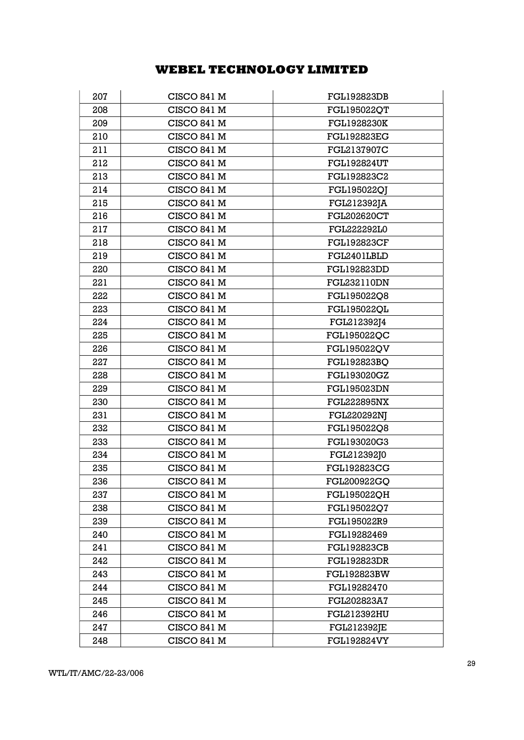| 207 | <b>CISCO 841 M</b> | <b>FGL192823DB</b> |
|-----|--------------------|--------------------|
| 208 | CISCO 841 M        | <b>FGL195022QT</b> |
| 209 | CISCO 841 M        | <b>FGL1928230K</b> |
| 210 | CISCO 841 M        | <b>FGL192823EG</b> |
| 211 | <b>CISCO 841 M</b> | FGL2137907C        |
| 212 | <b>CISCO 841 M</b> | <b>FGL192824UT</b> |
| 213 | <b>CISCO 841 M</b> | FGL192823C2        |
| 214 | CISCO 841 M        | FGL195022QI        |
| 215 | <b>CISCO 841 M</b> | FGL212392JA        |
| 216 | <b>CISCO 841 M</b> | <b>FGL202620CT</b> |
| 217 | CISCO 841 M        | FGL222292L0        |
| 218 | CISCO 841 M        | <b>FGL192823CF</b> |
| 219 | CISCO 841 M        | FGL2401LBLD        |
| 220 | CISCO 841 M        | <b>FGL192823DD</b> |
| 221 | CISCO 841 M        | FGL232110DN        |
| 222 | CISCO 841 M        | FGL195022Q8        |
| 223 | <b>CISCO 841 M</b> | <b>FGL195022QL</b> |
| 224 | CISCO 841 M        | FGL212392J4        |
| 225 | CISCO 841 M        | FGL195022QC        |
| 226 | CISCO 841 M        | FGL195022QV        |
| 227 | CISCO 841 M        | FGL192823BQ        |
| 228 | CISCO 841 M        | <b>FGL193020GZ</b> |
| 229 | <b>CISCO 841 M</b> | <b>FGL195023DN</b> |
| 230 | CISCO 841 M        | <b>FGL222895NX</b> |
| 231 | CISCO 841 M        | <b>FGL220292NJ</b> |
| 232 | CISCO 841 M        | FGL195022Q8        |
| 233 | <b>CISCO 841 M</b> | FGL193020G3        |
| 234 | <b>CISCO 841 M</b> | FGL212392J0        |
| 235 | <b>CISCO 841 M</b> | <b>FGL192823CG</b> |
| 236 | CISCO 841 M        | FGL200922GQ        |
| 237 | <b>CISCO 841 M</b> | FGL195022QH        |
| 238 | CISCO 841 M        | FGL195022Q7        |
| 239 | CISCO 841 M        | FGL195022R9        |
| 240 | <b>CISCO 841 M</b> | FGL19282469        |
| 241 | CISCO 841 M        | <b>FGL192823CB</b> |
| 242 | CISCO 841 M        | <b>FGL192823DR</b> |
| 243 | CISCO 841 M        | <b>FGL192823BW</b> |
| 244 | CISCO 841 M        | FGL19282470        |
| 245 | CISCO 841 M        | FGL202823A7        |
| 246 | CISCO 841 M        | <b>FGL212392HU</b> |
| 247 | CISCO 841 M        | <b>FGL212392JE</b> |
| 248 | <b>CISCO 841 M</b> | <b>FGL192824VY</b> |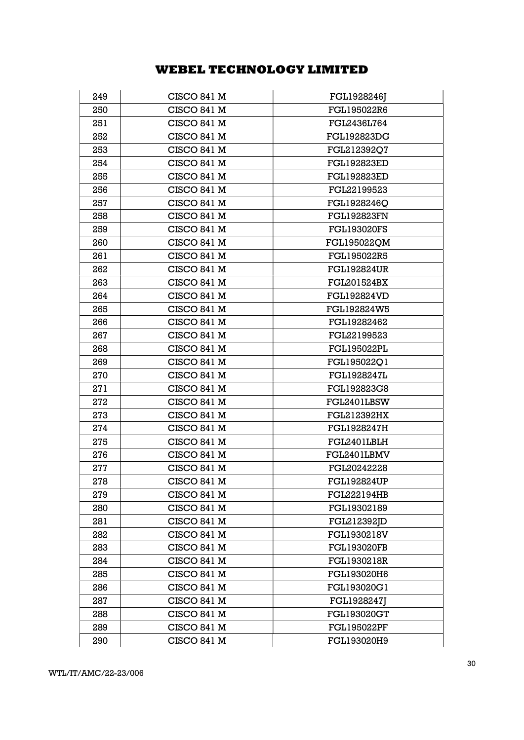| 249 | <b>CISCO 841 M</b> | FGL1928246J        |
|-----|--------------------|--------------------|
| 250 | CISCO 841 M        | FGL195022R6        |
| 251 | CISCO 841 M        | FGL2436L764        |
| 252 | CISCO 841 M        | <b>FGL192823DG</b> |
| 253 | CISCO 841 M        | FGL212392Q7        |
| 254 | CISCO 841 M        | <b>FGL192823ED</b> |
| 255 | CISCO 841 M        | <b>FGL192823ED</b> |
| 256 | <b>CISCO 841 M</b> | FGL22199523        |
| 257 | <b>CISCO 841 M</b> | FGL1928246O        |
| 258 | CISCO 841 M        | <b>FGL192823FN</b> |
| 259 | <b>CISCO 841 M</b> | <b>FGL193020FS</b> |
| 260 | CISCO 841 M        | FGL195022QM        |
| 261 | CISCO 841 M        | FGL195022R5        |
| 262 | CISCO 841 M        | <b>FGL192824UR</b> |
| 263 | CISCO 841 M        | <b>FGL201524BX</b> |
| 264 | <b>CISCO 841 M</b> | <b>FGL192824VD</b> |
| 265 | CISCO 841 M        | FGL192824W5        |
| 266 | CISCO 841 M        | FGL19282462        |
| 267 | <b>CISCO 841 M</b> | FGL22199523        |
| 268 | CISCO 841 M        | <b>FGL195022PL</b> |
| 269 | CISCO 841 M        | FGL195022Q1        |
| 270 | CISCO 841 M        | <b>FGL1928247L</b> |
| 271 | CISCO 841 M        | FGL192823G8        |
| 272 | CISCO 841 M        | FGL2401LBSW        |
| 273 | CISCO 841 M        | <b>FGL212392HX</b> |
| 274 | CISCO 841 M        | <b>FGL1928247H</b> |
| 275 | <b>CISCO 841 M</b> | FGL2401LBLH        |
| 276 | CISCO 841 M        | FGL2401LBMV        |
| 277 | CISCO 841 M        | FGL20242228        |
| 278 | CISCO 841 M        | <b>FGL192824UP</b> |
| 279 | CISCO 841 M        | <b>FGL222194HB</b> |
| 280 | CISCO 841 M        | FGL19302189        |
| 281 | <b>CISCO 841 M</b> | FGL212392JD        |
| 282 | CISCO 841 M        | FGL1930218V        |
| 283 | CISCO 841 M        | <b>FGL193020FB</b> |
| 284 | CISCO 841 M        | FGL1930218R        |
| 285 | CISCO 841 M        | <b>FGL193020H6</b> |
| 286 | CISCO 841 M        | FGL193020G1        |
| 287 | CISCO 841 M        | FGL1928247J        |
| 288 | <b>CISCO 841 M</b> | <b>FGL193020GT</b> |
| 289 | CISCO 841 M        | <b>FGL195022PF</b> |
| 290 | <b>CISCO 841 M</b> | FGL193020H9        |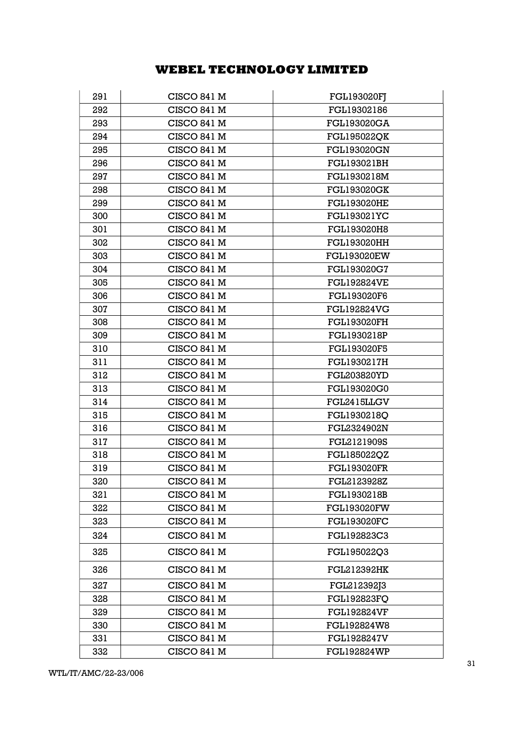| 291 | <b>CISCO 841 M</b> | <b>FGL193020FJ</b> |
|-----|--------------------|--------------------|
| 292 | CISCO 841 M        | FGL19302186        |
| 293 | CISCO 841 M        | <b>FGL193020GA</b> |
| 294 | CISCO 841 M        | <b>FGL195022QK</b> |
| 295 | CISCO 841 M        | <b>FGL193020GN</b> |
| 296 | CISCO 841 M        | FGL193021BH        |
| 297 | CISCO 841 M        | FGL1930218M        |
| 298 | CISCO 841 M        | <b>FGL193020GK</b> |
| 299 | CISCO 841 M        | <b>FGL193020HE</b> |
| 300 | <b>CISCO 841 M</b> | <b>FGL193021YC</b> |
| 301 | CISCO 841 M        | FGL193020H8        |
| 302 | CISCO 841 M        | <b>FGL193020HH</b> |
| 303 | CISCO 841 M        | <b>FGL193020EW</b> |
| 304 | CISCO 841 M        | FGL193020G7        |
| 305 | CISCO 841 M        | <b>FGL192824VE</b> |
| 306 | CISCO 841 M        | <b>FGL193020F6</b> |
| 307 | CISCO 841 M        | <b>FGL192824VG</b> |
| 308 | CISCO 841 M        | <b>FGL193020FH</b> |
| 309 | CISCO 841 M        | FGL1930218P        |
| 310 | CISCO 841 M        | FGL193020F5        |
| 311 | <b>CISCO 841 M</b> | FGL1930217H        |
| 312 | CISCO 841 M        | FGL203820YD        |
| 313 | <b>CISCO 841 M</b> | FGL193020G0        |
| 314 | CISCO 841 M        | FGL2415LLGV        |
| 315 | CISCO 841 M        | FGL1930218Q        |
| 316 | CISCO 841 M        | FGL2324902N        |
| 317 | CISCO 841 M        | FGL2121909S        |
| 318 | CISCO 841 M        | FGL185022QZ        |
| 319 | <b>CISCO 841 M</b> | <b>FGL193020FR</b> |
| 320 | CISCO 841 M        | FGL2123928Z        |
| 321 | <b>CISCO 841 M</b> | FGL1930218B        |
| 322 | CISCO 841 M        | <b>FGL193020FW</b> |
| 323 | CISCO 841 M        | <b>FGL193020FC</b> |
| 324 | CISCO 841 M        | FGL192823C3        |
| 325 | <b>CISCO 841 M</b> | FGL195022Q3        |
| 326 | CISCO 841 M        | <b>FGL212392HK</b> |
| 327 | CISCO 841 M        | FGL212392J3        |
| 328 | CISCO 841 M        | <b>FGL192823FQ</b> |
| 329 | CISCO 841 M        | <b>FGL192824VF</b> |
| 330 | CISCO 841 M        | FGL192824W8        |
| 331 | CISCO 841 M        | <b>FGL1928247V</b> |
| 332 | CISCO 841 M        | <b>FGL192824WP</b> |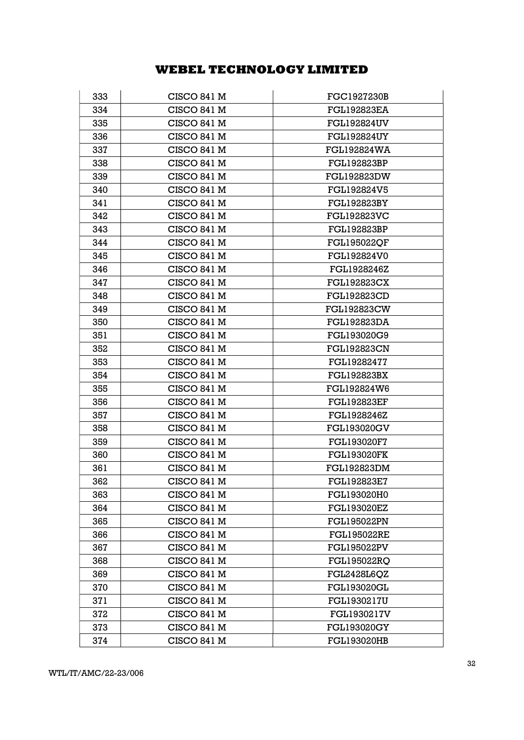| 333 | CISCO 841 M        | FGC1927230B        |
|-----|--------------------|--------------------|
| 334 | CISCO 841 M        | <b>FGL192823EA</b> |
| 335 | CISCO 841 M        | <b>FGL192824UV</b> |
| 336 | CISCO 841 M        | <b>FGL192824UY</b> |
| 337 | <b>CISCO 841 M</b> | <b>FGL192824WA</b> |
| 338 | CISCO 841 M        | <b>FGL192823BP</b> |
| 339 | CISCO 841 M        | <b>FGL192823DW</b> |
| 340 | CISCO 841 M        | FGL192824V5        |
| 341 | CISCO 841 M        | <b>FGL192823BY</b> |
| 342 | CISCO 841 M        | <b>FGL192823VC</b> |
| 343 | <b>CISCO 841 M</b> | <b>FGL192823BP</b> |
| 344 | CISCO 841 M        | <b>FGL195022QF</b> |
| 345 | CISCO 841 M        | FGL192824V0        |
| 346 | CISCO 841 M        | FGL1928246Z        |
| 347 | CISCO 841 M        | <b>FGL192823CX</b> |
| 348 | CISCO 841 M        | <b>FGL192823CD</b> |
| 349 | CISCO 841 M        | <b>FGL192823CW</b> |
| 350 | CISCO 841 M        | <b>FGL192823DA</b> |
| 351 | CISCO 841 M        | FGL193020G9        |
| 352 | CISCO 841 M        | <b>FGL192823CN</b> |
| 353 | CISCO 841 M        | FGL19282477        |
| 354 | CISCO 841 M        | <b>FGL192823BX</b> |
| 355 | CISCO 841 M        | <b>FGL192824W6</b> |
| 356 | CISCO 841 M        | <b>FGL192823EF</b> |
| 357 | CISCO 841 M        | FGL1928246Z        |
| 358 | <b>CISCO 841 M</b> | <b>FGL193020GV</b> |
| 359 | CISCO 841 M        | <b>FGL193020F7</b> |
| 360 | <b>CISCO 841 M</b> | <b>FGL193020FK</b> |
| 361 | CISCO 841 M        | <b>FGL192823DM</b> |
| 362 | CISCO 841 M        | FGL192823E7        |
| 363 | CISCO 841 M        | FGL193020H0        |
| 364 | CISCO 841 M        | <b>FGL193020EZ</b> |
| 365 | CISCO 841 M        | <b>FGL195022PN</b> |
| 366 | CISCO 841 M        | <b>FGL195022RE</b> |
| 367 | CISCO 841 M        | <b>FGL195022PV</b> |
| 368 | <b>CISCO 841 M</b> | <b>FGL195022RO</b> |
| 369 | <b>CISCO 841 M</b> | <b>FGL2428L6QZ</b> |
| 370 | CISCO 841 M        | <b>FGL193020GL</b> |
| 371 | CISCO 841 M        | <b>FGL1930217U</b> |
| 372 | CISCO 841 M        | FGL1930217V        |
| 373 | CISCO 841 M        | <b>FGL193020GY</b> |
| 374 | CISCO 841 M        | <b>FGL193020HB</b> |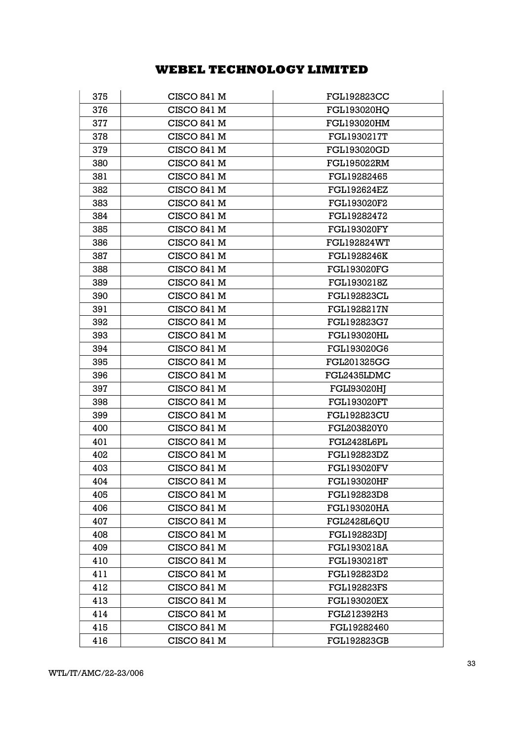| 375 | <b>CISCO 841 M</b> | <b>FGL192823CC</b> |
|-----|--------------------|--------------------|
| 376 | CISCO 841 M        | FGL193020HQ        |
| 377 | CISCO 841 M        | <b>FGL193020HM</b> |
| 378 | <b>CISCO 841 M</b> | FGL1930217T        |
| 379 | <b>CISCO 841 M</b> | <b>FGL193020GD</b> |
| 380 | <b>CISCO 841 M</b> | <b>FGL195022RM</b> |
| 381 | CISCO 841 M        | FGL19282465        |
| 382 | CISCO 841 M        | <b>FGL192624EZ</b> |
| 383 | CISCO 841 M        | FGL193020F2        |
| 384 | CISCO 841 M        | FGL19282472        |
| 385 | CISCO 841 M        | <b>FGL193020FY</b> |
| 386 | CISCO 841 M        | <b>FGL192824WT</b> |
| 387 | CISCO 841 M        | <b>FGL1928246K</b> |
| 388 | CISCO 841 M        | <b>FGL193020FG</b> |
| 389 | <b>CISCO 841 M</b> | FGL1930218Z        |
| 390 | CISCO 841 M        | <b>FGL192823CL</b> |
| 391 | CISCO 841 M        | <b>FGL1928217N</b> |
| 392 | CISCO 841 M        | FGL192823G7        |
| 393 | <b>CISCO 841 M</b> | <b>FGL193020HL</b> |
| 394 | CISCO 841 M        | FGL193020G6        |
| 395 | CISCO 841 M        | <b>FGL201325GG</b> |
| 396 | CISCO 841 M        | FGL2435LDMC        |
| 397 | CISCO 841 M        | <b>FGLI93020HJ</b> |
| 398 | CISCO 841 M        | <b>FGL193020FT</b> |
| 399 | CISCO 841 M        | <b>FGL192823CU</b> |
| 400 | CISCO 841 M        | FGL203820Y0        |
| 401 | <b>CISCO 841 M</b> | FGL2428L6PL        |
| 402 | CISCO 841 M        | <b>FGL192823DZ</b> |
| 403 | CISCO 841 M        | <b>FGL193020FV</b> |
| 404 | CISCO 841 M        | <b>FGL193020HF</b> |
| 405 | CISCO 841 M        | FGL192823D8        |
| 406 | CISCO 841 M        | <b>FGL193020HA</b> |
| 407 | CISCO 841 M        | <b>FGL2428L6QU</b> |
| 408 | CISCO 841 M        | <b>FGL192823DJ</b> |
| 409 | CISCO 841 M        | FGL1930218A        |
| 410 | <b>CISCO 841 M</b> | <b>FGL1930218T</b> |
| 411 | CISCO 841 M        | FGL192823D2        |
| 412 | CISCO 841 M        | <b>FGL192823FS</b> |
| 413 | CISCO 841 M        | <b>FGL193020EX</b> |
| 414 | CISCO 841 M        | FGL212392H3        |
| 415 | CISCO 841 M        | FGL19282460        |
| 416 | CISCO 841 M        | <b>FGL192823GB</b> |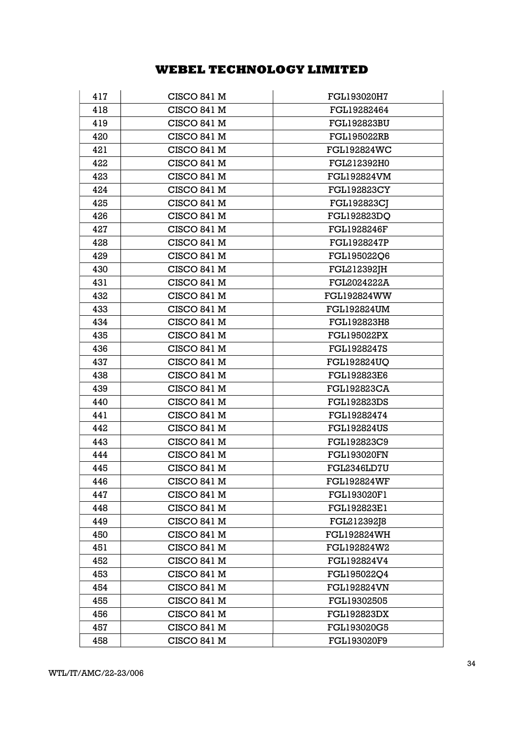| 417 | <b>CISCO 841 M</b> | FGL193020H7        |
|-----|--------------------|--------------------|
| 418 | CISCO 841 M        | FGL19282464        |
| 419 | CISCO 841 M        | <b>FGL192823BU</b> |
| 420 | <b>CISCO 841 M</b> | <b>FGL195022RB</b> |
| 421 | <b>CISCO 841 M</b> | <b>FGL192824WC</b> |
| 422 | <b>CISCO 841 M</b> | FGL212392H0        |
| 423 | <b>CISCO 841 M</b> | <b>FGL192824VM</b> |
| 424 | CISCO 841 M        | <b>FGL192823CY</b> |
| 425 | CISCO 841 M        | <b>FGL192823CJ</b> |
| 426 | CISCO 841 M        | <b>FGL192823DQ</b> |
| 427 | CISCO 841 M        | <b>FGL1928246F</b> |
| 428 | CISCO 841 M        | FGL1928247P        |
| 429 | CISCO 841 M        | FGL195022Q6        |
| 430 | CISCO 841 M        | FGL212392JH        |
| 431 | <b>CISCO 841 M</b> | FGL2024222A        |
| 432 | CISCO 841 M        | <b>FGL192824WW</b> |
| 433 | CISCO 841 M        | <b>FGL192824UM</b> |
| 434 | CISCO 841 M        | FGL192823H8        |
| 435 | CISCO 841 M        | <b>FGL195022PX</b> |
| 436 | CISCO 841 M        | FGL1928247S        |
| 437 | CISCO 841 M        | <b>FGL192824UQ</b> |
| 438 | CISCO 841 M        | FGL192823E6        |
| 439 | CISCO 841 M        | <b>FGL192823CA</b> |
| 440 | CISCO 841 M        | <b>FGL192823DS</b> |
| 441 | CISCO 841 M        | FGL19282474        |
| 442 | CISCO 841 M        | <b>FGL192824US</b> |
| 443 | <b>CISCO 841 M</b> | FGL192823C9        |
| 444 | CISCO 841 M        | <b>FGL193020FN</b> |
| 445 | CISCO 841 M        | FGL2346LD7U        |
| 446 | CISCO 841 M        | <b>FGL192824WF</b> |
| 447 | <b>CISCO 841 M</b> | <b>FGL193020F1</b> |
| 448 | CISCO 841 M        | FGL192823E1        |
| 449 | CISCO 841 M        | FGL212392J8        |
| 450 | <b>CISCO 841 M</b> | <b>FGL192824WH</b> |
| 451 | CISCO 841 M        | FGL192824W2        |
| 452 | CISCO 841 M        | FGL192824V4        |
| 453 | CISCO 841 M        | FGL195022Q4        |
| 454 | CISCO 841 M        | <b>FGL192824VN</b> |
| 455 | CISCO 841 M        | FGL19302505        |
| 456 | CISCO 841 M        | <b>FGL192823DX</b> |
| 457 | CISCO 841 M        | FGL193020G5        |
| 458 | CISCO 841 M        | FGL193020F9        |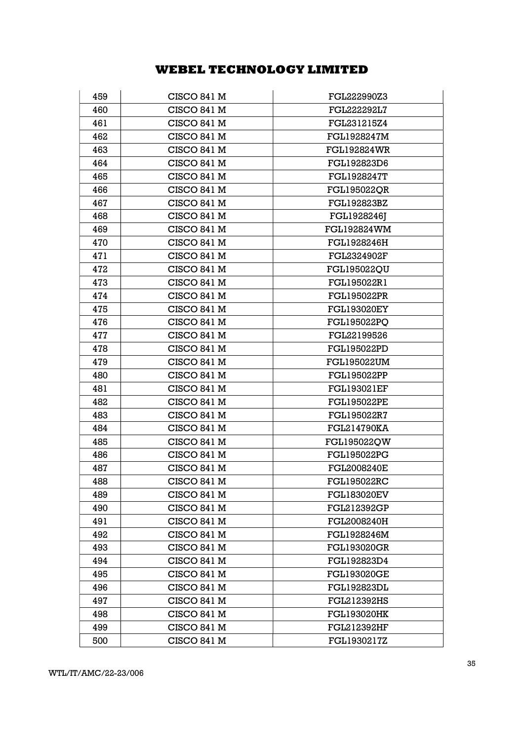| 459 | CISCO 841 M        | FGL222990Z3        |
|-----|--------------------|--------------------|
| 460 | CISCO 841 M        | FGL222292L7        |
| 461 | CISCO 841 M        | FGL231215Z4        |
| 462 | CISCO 841 M        | <b>FGL1928247M</b> |
| 463 | <b>CISCO 841 M</b> | <b>FGL192824WR</b> |
| 464 | CISCO 841 M        | FGL192823D6        |
| 465 | CISCO 841 M        | <b>FGL1928247T</b> |
| 466 | <b>CISCO 841 M</b> | <b>FGL195022QR</b> |
| 467 | <b>CISCO 841 M</b> | FGL192823BZ        |
| 468 | CISCO 841 M        | FGL1928246J        |
| 469 | <b>CISCO 841 M</b> | <b>FGL192824WM</b> |
| 470 | CISCO 841 M        | FGL1928246H        |
| 471 | CISCO 841 M        | FGL2324902F        |
| 472 | CISCO 841 M        | <b>FGL195022QU</b> |
| 473 | CISCO 841 M        | FGL195022R1        |
| 474 | <b>CISCO 841 M</b> | <b>FGL195022PR</b> |
| 475 | <b>CISCO 841 M</b> | <b>FGL193020EY</b> |
| 476 | CISCO 841 M        | <b>FGL195022PO</b> |
| 477 | CISCO 841 M        | FGL22199526        |
| 478 | CISCO 841 M        | <b>FGL195022PD</b> |
| 479 | CISCO 841 M        | <b>FGL195022UM</b> |
| 480 | CISCO 841 M        | <b>FGL195022PP</b> |
| 481 | CISCO 841 M        | <b>FGL193021EF</b> |
| 482 | CISCO 841 M        | <b>FGL195022PE</b> |
| 483 | CISCO 841 M        | FGL195022R7        |
| 484 | CISCO 841 M        | <b>FGL214790KA</b> |
| 485 | CISCO 841 M        | FGL195022QW        |
| 486 | CISCO 841 M        | <b>FGL195022PG</b> |
| 487 | CISCO 841 M        | <b>FGL2008240E</b> |
| 488 | CISCO 841 M        | <b>FGL195022RC</b> |
| 489 | <b>CISCO 841 M</b> | <b>FGL183020EV</b> |
| 490 | CISCO 841 M        | FGL212392GP        |
| 491 | <b>CISCO 841 M</b> | FGL2008240H        |
| 492 | CISCO 841 M        | FGL1928246M        |
| 493 | CISCO 841 M        | <b>FGL193020GR</b> |
| 494 | <b>CISCO 841 M</b> | FGL192823D4        |
| 495 | CISCO 841 M        | <b>FGL193020GE</b> |
| 496 | CISCO 841 M        | <b>FGL192823DL</b> |
| 497 | <b>CISCO 841 M</b> | <b>FGL212392HS</b> |
| 498 | CISCO 841 M        | <b>FGL193020HK</b> |
| 499 | CISCO 841 M        | <b>FGL212392HF</b> |
| 500 | CISCO 841 M        | FGL1930217Z        |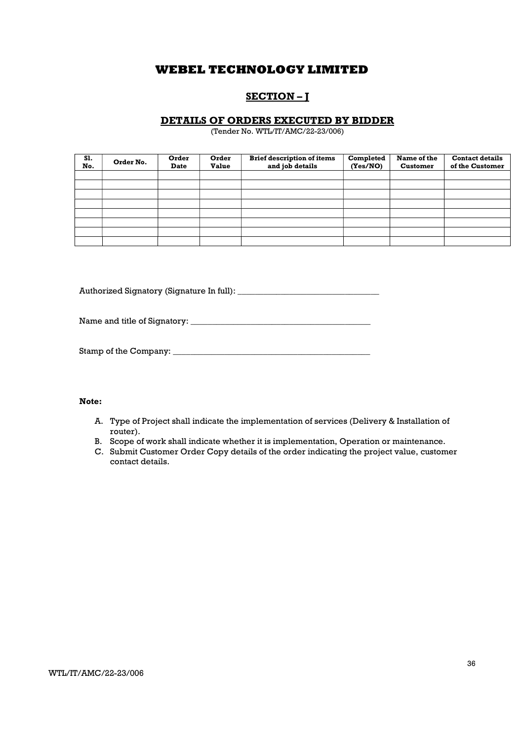## SECTION – J

## DETAILS OF ORDERS EXECUTED BY BIDDER

(Tender No. WTL/IT/AMC/22-23/006)

| S1.<br>No. | Order No. | Order<br><b>Date</b> | Order<br><b>Value</b> | <b>Brief description of items</b><br>and job details | Completed<br>(Yes/NO) | Name of the<br><b>Customer</b> | <b>Contact details</b><br>of the Customer |
|------------|-----------|----------------------|-----------------------|------------------------------------------------------|-----------------------|--------------------------------|-------------------------------------------|
|            |           |                      |                       |                                                      |                       |                                |                                           |
|            |           |                      |                       |                                                      |                       |                                |                                           |
|            |           |                      |                       |                                                      |                       |                                |                                           |
|            |           |                      |                       |                                                      |                       |                                |                                           |
|            |           |                      |                       |                                                      |                       |                                |                                           |
|            |           |                      |                       |                                                      |                       |                                |                                           |
|            |           |                      |                       |                                                      |                       |                                |                                           |
|            |           |                      |                       |                                                      |                       |                                |                                           |

Authorized Signatory (Signature In full): \_\_\_\_\_\_\_\_\_\_\_\_\_\_\_\_\_\_\_\_\_\_\_\_\_\_\_\_\_\_\_\_\_

Name and title of Signatory: \_\_\_\_\_\_\_\_\_\_\_\_\_\_\_\_\_\_\_\_\_\_\_\_\_\_\_\_\_\_\_\_\_\_\_\_\_\_\_\_\_\_

Stamp of the Company: \_\_\_\_\_\_\_\_\_\_\_\_\_\_\_\_\_\_\_\_\_\_\_\_\_\_\_\_\_\_\_\_\_\_\_\_\_\_\_\_\_\_\_\_\_\_

### Note:

- A. Type of Project shall indicate the implementation of services (Delivery & Installation of router).
- B. Scope of work shall indicate whether it is implementation, Operation or maintenance.
- C. Submit Customer Order Copy details of the order indicating the project value, customer contact details.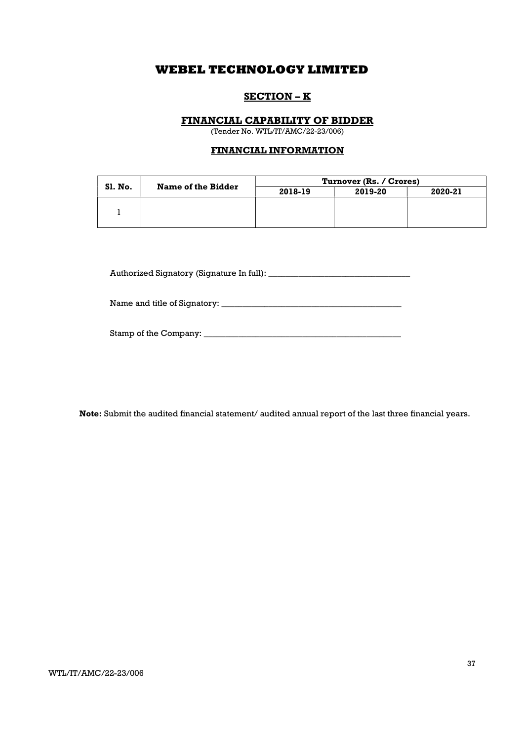## SECTION – K

## FINANCIAL CAPABILITY OF BIDDER

(Tender No. WTL/IT/AMC/22-23/006)

## FINANCIAL INFORMATION

| <b>Sl. No.</b> | Name of the Bidder | Turnover (Rs. / Crores) |         |         |  |
|----------------|--------------------|-------------------------|---------|---------|--|
|                |                    | 2018-19                 | 2019-20 | 2020-21 |  |
|                |                    |                         |         |         |  |
|                |                    |                         |         |         |  |
|                |                    |                         |         |         |  |

Authorized Signatory (Signature In full): \_\_\_\_\_\_\_\_\_\_\_\_\_\_\_\_\_\_\_\_\_\_\_\_\_\_\_\_\_\_\_\_\_

Name and title of Signatory: \_\_\_\_\_\_\_\_\_\_\_\_\_\_\_\_\_\_\_\_\_\_\_\_\_\_\_\_\_\_\_\_\_\_\_\_\_\_\_\_\_\_

| Stamp of the Company: |  |
|-----------------------|--|
|                       |  |

Note: Submit the audited financial statement/ audited annual report of the last three financial years.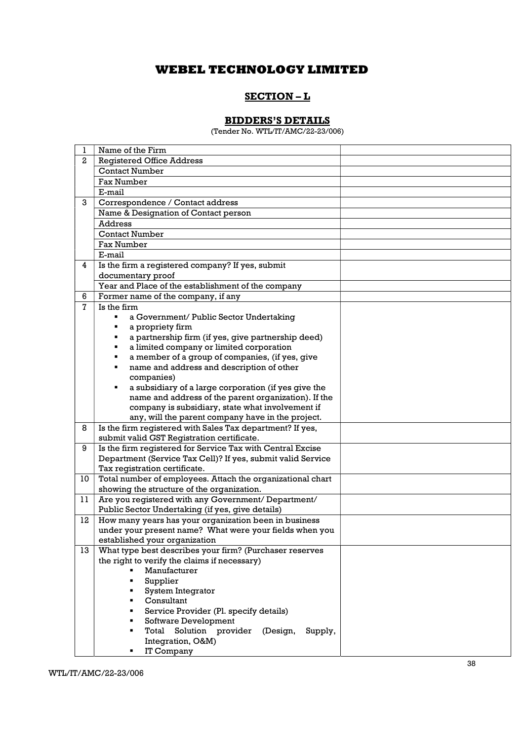# SECTION – L

## BIDDERS'S DETAILS

(Tender No. WTL/IT/AMC/22-23/006)

| 1              | Name of the Firm                                            |  |
|----------------|-------------------------------------------------------------|--|
| $\mathbf{2}$   | <b>Registered Office Address</b>                            |  |
|                | <b>Contact Number</b>                                       |  |
|                | <b>Fax Number</b>                                           |  |
|                | E-mail                                                      |  |
| 3              | Correspondence / Contact address                            |  |
|                | Name & Designation of Contact person                        |  |
|                | Address                                                     |  |
|                | <b>Contact Number</b>                                       |  |
|                | Fax Number                                                  |  |
|                | E-mail                                                      |  |
| 4              | Is the firm a registered company? If yes, submit            |  |
|                | documentary proof                                           |  |
|                | Year and Place of the establishment of the company          |  |
| 6              | Former name of the company, if any                          |  |
| $\overline{7}$ | Is the firm                                                 |  |
|                | a Government/ Public Sector Undertaking<br>٠                |  |
|                | a propriety firm<br>٠                                       |  |
|                | a partnership firm (if yes, give partnership deed)          |  |
|                | a limited company or limited corporation<br>٠               |  |
|                | a member of a group of companies, (if yes, give<br>٠        |  |
|                | name and address and description of other<br>٠              |  |
|                | companies)                                                  |  |
|                | a subsidiary of a large corporation (if yes give the<br>٠   |  |
|                | name and address of the parent organization). If the        |  |
|                | company is subsidiary, state what involvement if            |  |
|                | any, will the parent company have in the project.           |  |
| 8              | Is the firm registered with Sales Tax department? If yes,   |  |
|                | submit valid GST Registration certificate.                  |  |
| 9              | Is the firm registered for Service Tax with Central Excise  |  |
|                | Department (Service Tax Cell)? If yes, submit valid Service |  |
|                | Tax registration certificate.                               |  |
| 10             | Total number of employees. Attach the organizational chart  |  |
|                | showing the structure of the organization.                  |  |
| 11             | Are you registered with any Government/ Department/         |  |
|                | Public Sector Undertaking (if yes, give details)            |  |
| 12             | How many years has your organization been in business       |  |
|                | under your present name? What were your fields when you     |  |
|                | established your organization                               |  |
| 13             | What type best describes your firm? (Purchaser reserves     |  |
|                | the right to verify the claims if necessary)                |  |
|                | Manufacturer                                                |  |
|                | Supplier                                                    |  |
|                | System Integrator<br>٠                                      |  |
|                | Consultant                                                  |  |
|                | Service Provider (Pl. specify details)                      |  |
|                | Software Development                                        |  |
|                | Total Solution provider (Design,<br>Supply,                 |  |
|                | Integration, O&M)                                           |  |
|                | IT Company                                                  |  |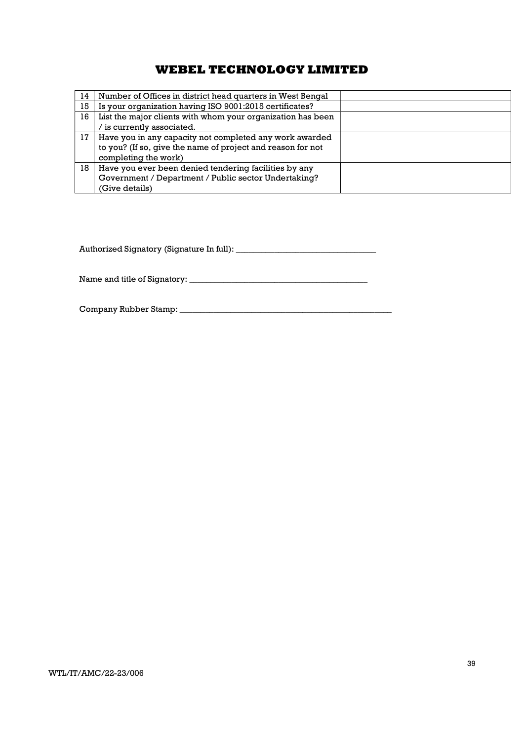| 14 | Number of Offices in district head quarters in West Bengal                                                                                     |  |
|----|------------------------------------------------------------------------------------------------------------------------------------------------|--|
| 15 | Is your organization having ISO 9001:2015 certificates?                                                                                        |  |
| 16 | List the major clients with whom your organization has been                                                                                    |  |
|    | $\sqrt{}$ is currently associated.                                                                                                             |  |
| 17 | Have you in any capacity not completed any work awarded<br>to you? (If so, give the name of project and reason for not<br>completing the work) |  |
| 18 | Have you ever been denied tendering facilities by any<br>Government / Department / Public sector Undertaking?<br>(Give details)                |  |

Authorized Signatory (Signature In full): \_\_\_\_\_\_\_\_\_\_\_\_\_\_\_\_\_\_\_\_\_\_\_\_\_\_\_\_\_\_\_\_\_

Name and title of Signatory: \_\_\_\_\_\_\_\_\_\_\_\_\_\_\_\_\_\_\_\_\_\_\_\_\_\_\_\_\_\_\_\_\_\_\_\_\_\_\_\_\_\_

Company Rubber Stamp: \_\_\_\_\_\_\_\_\_\_\_\_\_\_\_\_\_\_\_\_\_\_\_\_\_\_\_\_\_\_\_\_\_\_\_\_\_\_\_\_\_\_\_\_\_\_\_\_\_\_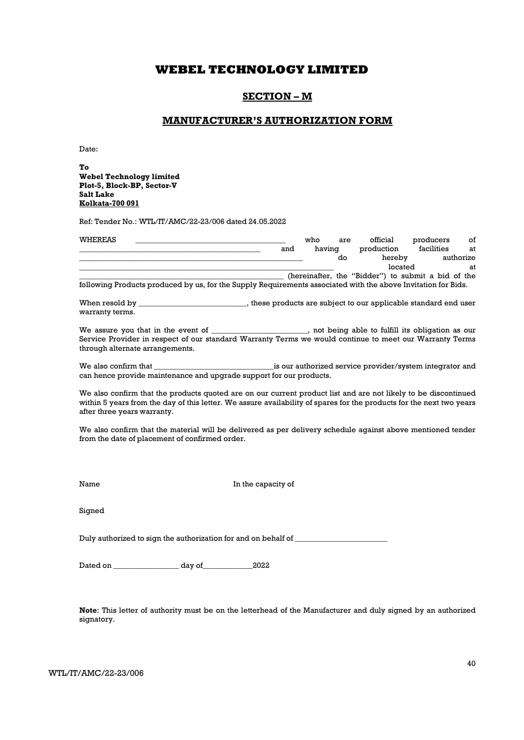## SECTION – M

## MANUFACTURER'S AUTHORIZATION FORM

Date:

To Webel Technology limited Plot-5, Block-BP, Sector-V Salt Lake Kolkata-700 091

Ref: Tender No.: WTL/IT/AMC/22-23/006 dated 24.05.2022

| <b>WHEREAS</b> |                                                                                                               |     | who    | are | official                                           | producers  | οf        |
|----------------|---------------------------------------------------------------------------------------------------------------|-----|--------|-----|----------------------------------------------------|------------|-----------|
|                |                                                                                                               | and | having |     | production                                         | facilities | at        |
|                |                                                                                                               |     |        | do  | hereby                                             |            | authorize |
|                |                                                                                                               |     |        |     | located                                            |            | at        |
|                |                                                                                                               |     |        |     | (hereinafter, the "Bidder") to submit a bid of the |            |           |
|                | following Products produced by us, for the Supply Requirements associated with the above Invitation for Bids. |     |        |     |                                                    |            |           |

When resold by \_\_\_\_\_\_\_\_\_\_\_\_\_\_\_\_\_\_\_\_\_\_\_\_\_\_\_\_, these products are subject to our applicable standard end user warranty terms.

We assure you that in the event of \_\_\_\_\_\_\_\_\_\_\_\_\_\_\_\_\_\_\_\_, not being able to fulfill its obligation as our Service Provider in respect of our standard Warranty Terms we would continue to meet our Warranty Terms through alternate arrangements.

We also confirm that \_\_\_\_\_\_\_\_\_\_\_\_\_\_\_\_\_\_\_\_\_\_\_\_\_\_\_\_\_\_\_is our authorized service provider/system integrator and can hence provide maintenance and upgrade support for our products.

We also confirm that the products quoted are on our current product list and are not likely to be discontinued within 5 years from the day of this letter. We assure availability of spares for the products for the next two years after three years warranty.

We also confirm that the material will be delivered as per delivery schedule against above mentioned tender from the date of placement of confirmed order.

Name In the capacity of

Signed

Duly authorized to sign the authorization for and on behalf of \_\_\_\_\_\_\_\_\_\_\_\_\_\_\_\_\_\_

Dated on \_\_\_\_\_\_\_\_\_\_\_\_\_\_\_\_\_ day of\_\_\_\_\_\_\_\_\_\_\_\_\_2022

Note: This letter of authority must be on the letterhead of the Manufacturer and duly signed by an authorized signatory.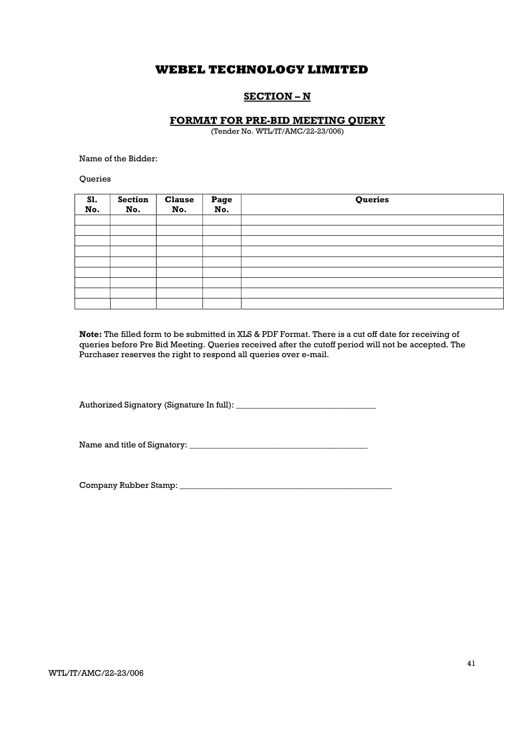## SECTION – N

## FORMAT FOR PRE-BID MEETING QUERY

(Tender No. WTL/IT/AMC/22-23/006)

Name of the Bidder:

**Oueries** 

| <b>S1.</b><br>No. | <b>Section</b><br>No. | <b>Clause</b><br>No. | Page<br>No. | Queries |
|-------------------|-----------------------|----------------------|-------------|---------|
|                   |                       |                      |             |         |
|                   |                       |                      |             |         |
|                   |                       |                      |             |         |
|                   |                       |                      |             |         |
|                   |                       |                      |             |         |
|                   |                       |                      |             |         |
|                   |                       |                      |             |         |
|                   |                       |                      |             |         |
|                   |                       |                      |             |         |

Note: The filled form to be submitted in XLS & PDF Format. There is a cut off date for receiving of queries before Pre Bid Meeting. Queries received after the cutoff period will not be accepted. The Purchaser reserves the right to respond all queries over e-mail.

Authorized Signatory (Signature In full): \_\_\_\_\_\_\_\_\_\_\_\_\_\_\_\_\_\_\_\_\_\_\_\_\_\_\_\_\_\_\_\_\_

Name and title of Signatory: \_\_\_\_\_\_\_\_\_\_\_\_\_\_\_\_\_\_\_\_\_\_\_\_\_\_\_\_\_\_\_\_\_\_\_\_\_\_\_\_\_\_

Company Rubber Stamp: \_\_\_\_\_\_\_\_\_\_\_\_\_\_\_\_\_\_\_\_\_\_\_\_\_\_\_\_\_\_\_\_\_\_\_\_\_\_\_\_\_\_\_\_\_\_\_\_\_\_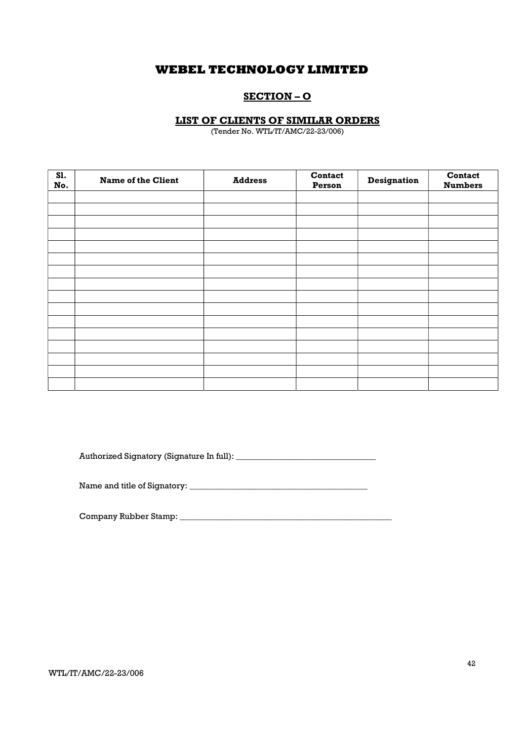## SECTION – O

## LIST OF CLIENTS OF SIMILAR ORDERS

(Tender No. WTL/IT/AMC/22-23/006)

| S1.<br>No. | <b>Name of the Client</b> | <b>Address</b> | <b>Contact</b><br>Person | Designation | <b>Contact</b><br><b>Numbers</b> |
|------------|---------------------------|----------------|--------------------------|-------------|----------------------------------|
|            |                           |                |                          |             |                                  |
|            |                           |                |                          |             |                                  |
|            |                           |                |                          |             |                                  |
|            |                           |                |                          |             |                                  |
|            |                           |                |                          |             |                                  |
|            |                           |                |                          |             |                                  |
|            |                           |                |                          |             |                                  |
|            |                           |                |                          |             |                                  |
|            |                           |                |                          |             |                                  |
|            |                           |                |                          |             |                                  |
|            |                           |                |                          |             |                                  |
|            |                           |                |                          |             |                                  |
|            |                           |                |                          |             |                                  |
|            |                           |                |                          |             |                                  |
|            |                           |                |                          |             |                                  |
|            |                           |                |                          |             |                                  |

Authorized Signatory (Signature In full): \_\_\_\_\_\_\_\_\_\_\_\_\_\_\_\_\_\_\_\_\_\_\_\_\_\_\_\_\_\_\_\_\_

Name and title of Signatory: \_\_\_\_\_\_\_\_\_\_\_\_\_\_\_\_\_\_\_\_\_\_\_\_\_\_\_\_\_\_\_\_\_\_\_\_\_\_\_\_\_\_

Company Rubber Stamp: \_\_\_\_\_\_\_\_\_\_\_\_\_\_\_\_\_\_\_\_\_\_\_\_\_\_\_\_\_\_\_\_\_\_\_\_\_\_\_\_\_\_\_\_\_\_\_\_\_\_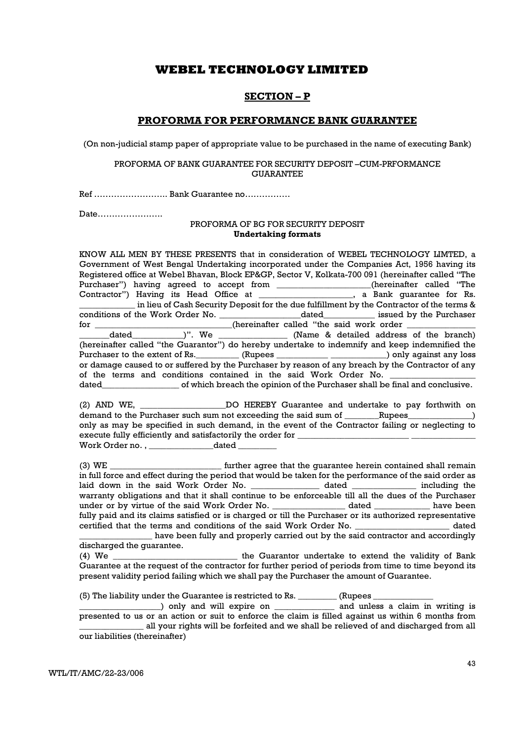## SECTION – P

### PROFORMA FOR PERFORMANCE BANK GUARANTEE

(On non-judicial stamp paper of appropriate value to be purchased in the name of executing Bank)

#### PROFORMA OF BANK GUARANTEE FOR SECURITY DEPOSIT –CUM-PRFORMANCE **GUARANTEE**

Ref …………………….. Bank Guarantee no…………….

Date…………………..

#### PROFORMA OF BG FOR SECURITY DEPOSIT Undertaking formats

KNOW ALL MEN BY THESE PRESENTS that in consideration of WEBEL TECHNOLOGY LIMTED, a Government of West Bengal Undertaking incorporated under the Companies Act, 1956 having its Registered office at Webel Bhavan, Block EP&GP, Sector V, Kolkata-700 091 (hereinafter called "The Purchaser") having agreed to accept from \_\_\_\_\_\_\_\_\_\_\_\_\_\_\_\_(hereinafter called "The Contractor") Having its Head Office at \_\_\_\_\_\_\_\_\_\_\_\_\_\_\_\_\_\_, a Bank quarantee for Rs. Communism in Having in Hank guarantee for Rs. in lieu of Cash Security Deposit for the due fulfillment by the Contractor of the terms & conditions of the Work Order No. \_\_\_\_\_\_\_\_\_\_\_\_\_\_\_\_\_\_\_dated\_\_\_\_\_\_\_\_\_\_\_\_ issued by the Purchaser for \_\_\_\_\_\_\_\_\_\_\_\_\_\_\_\_\_\_\_\_\_\_\_\_\_\_\_\_\_\_\_\_(hereinafter called "the said work order \_\_\_\_\_\_\_\_\_\_\_\_\_\_\_\_ dated  $)$ ". We  $(Name & detailed address of the branch)$ (hereinafter called "the Guarantor") do hereby undertake to indemnify and keep indemnified the Purchaser to the extent of Rs. The GRI (Rupees Theorem 2018) only against any loss or damage caused to or suffered by the Purchaser by reason of any breach by the Contractor of any of the terms and conditions contained in the said Work Order No. dated of which breach the opinion of the Purchaser shall be final and conclusive. (2) AND WE, \_\_\_\_\_\_\_\_\_\_\_\_\_\_\_\_\_\_\_\_DO HEREBY Guarantee and undertake to pay forthwith on demand to the Purchaser such sum not exceeding the said sum of \_\_\_\_\_\_Rupees\_\_\_\_\_\_\_\_\_\_\_\_) only as may be specified in such demand, in the event of the Contractor failing or neglecting to execute fully efficiently and satisfactorily the order for  $\_\_$ Work Order no. , \_\_\_\_\_\_\_\_\_\_\_\_\_\_\_dated \_\_\_\_\_\_\_\_\_ (3) WE \_\_\_\_\_\_\_\_\_\_\_\_\_\_\_\_\_\_\_\_\_\_\_\_\_\_\_\_\_\_\_ further agree that the guarantee herein contained shall remain in full force and effect during the period that would be taken for the performance of the said order as laid down in the said Work Order No. \_\_\_\_\_\_\_\_\_\_\_\_\_\_\_\_\_\_ dated \_\_\_\_\_\_\_\_\_\_\_\_\_\_\_\_\_ including the warranty obligations and that it shall continue to be enforceable till all the dues of the Purchaser under or by virtue of the said Work Order No. \_\_\_\_\_\_\_\_\_\_\_\_\_\_\_\_\_\_ dated \_\_\_\_\_\_\_\_\_\_\_\_\_\_ have been fully paid and its claims satisfied or is charged or till the Purchaser or its authorized representative certified that the terms and conditions of the said Work Order No. \_\_\_\_\_\_\_\_\_\_\_\_\_\_\_\_\_\_\_\_\_\_ dated have been fully and properly carried out by the said contractor and accordingly discharged the guarantee. (4) We \_\_\_\_\_\_\_\_\_\_\_\_\_\_\_\_\_\_\_\_\_\_\_\_\_\_\_\_\_ the Guarantor undertake to extend the validity of Bank Guarantee at the request of the contractor for further period of periods from time to time beyond its present validity period failing which we shall pay the Purchaser the amount of Guarantee. (5) The liability under the Guarantee is restricted to Rs.  $\frac{1}{1}$  (Rupees  $\frac{1}{1}$ \_\_\_\_\_\_\_\_\_\_\_\_\_\_\_\_\_\_\_) only and will expire on \_\_\_\_\_\_\_\_\_\_\_\_\_\_ and unless a claim in writing is presented to us or an action or suit to enforce the claim is filled against us within 6 months from \_\_\_\_\_\_\_\_\_\_\_\_\_\_\_ all your rights will be forfeited and we shall be relieved of and discharged from all

our liabilities (thereinafter)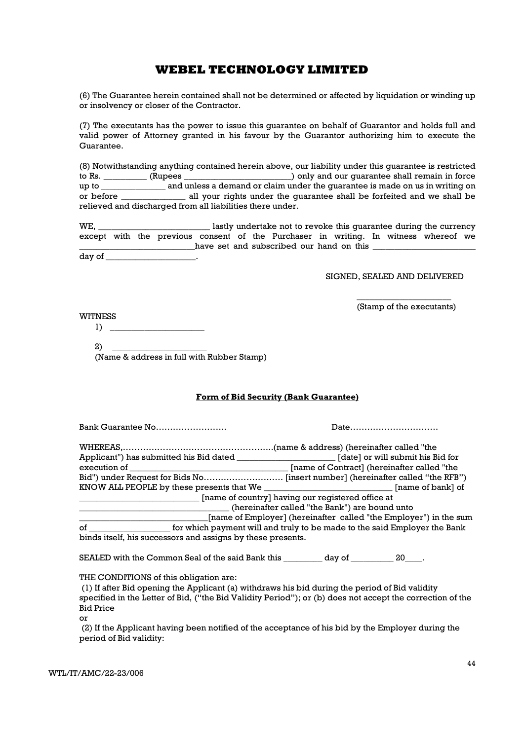(6) The Guarantee herein contained shall not be determined or affected by liquidation or winding up or insolvency or closer of the Contractor.

(7) The executants has the power to issue this guarantee on behalf of Guarantor and holds full and valid power of Attorney granted in his favour by the Guarantor authorizing him to execute the Guarantee.

(8) Notwithstanding anything contained herein above, our liability under this guarantee is restricted to Rs. \_\_\_\_\_\_\_\_\_\_ (Rupees \_\_\_\_\_\_\_\_\_\_\_\_\_\_\_\_\_\_\_\_\_\_\_\_\_) only and our guarantee shall remain in force up to \_\_\_\_\_\_\_\_\_\_\_\_\_\_\_ and unless a demand or claim under the guarantee is made on us in writing on or before \_\_\_\_\_\_\_\_\_\_\_\_\_\_\_ all your rights under the guarantee shall be forfeited and we shall be relieved and discharged from all liabilities there under.

WE, \_\_\_\_\_\_\_\_\_\_\_\_\_\_\_\_\_\_\_\_\_\_\_\_\_\_ lastly undertake not to revoke this guarantee during the currency except with the previous consent of the Purchaser in writing. In witness whereof we have set and subscribed our hand on this day of  $\qquad \qquad \blacksquare$ 

SIGNED, SEALED AND DELIVERED

\_\_\_\_\_\_\_\_\_\_\_\_\_\_\_\_\_\_\_\_\_\_ (Stamp of the executants)

**WITNESS** 

 $1)$ 

 $2)$ (Name & address in full with Rubber Stamp)

### Form of Bid Security (Bank Guarantee)

Bank Guarantee No……………………. Date………………………….

| Applicant") has submitted his Bid dated                                         | [date] or will submit his Bid for           |  |  |
|---------------------------------------------------------------------------------|---------------------------------------------|--|--|
| execution of                                                                    | [name of Contract] (hereinafter called "the |  |  |
| Bid") under Request for Bids No [insert number] (hereinafter called "the RFB")  |                                             |  |  |
|                                                                                 | [name of bank] of                           |  |  |
| [name of country] having our registered office at                               |                                             |  |  |
| (hereinafter called "the Bank") are bound unto                                  |                                             |  |  |
| [name of Employer] (hereinafter called "the Employer") in the sum               |                                             |  |  |
| for which payment will and truly to be made to the said Employer the Bank<br>of |                                             |  |  |
| binds itself, his successors and assigns by these presents.                     |                                             |  |  |

SEALED with the Common Seal of the said Bank this \_\_\_\_\_\_\_\_ day of \_\_\_\_\_\_\_\_\_ 20\_\_\_.

THE CONDITIONS of this obligation are:

 (1) If after Bid opening the Applicant (a) withdraws his bid during the period of Bid validity specified in the Letter of Bid, ("the Bid Validity Period"); or (b) does not accept the correction of the Bid Price

or

 (2) If the Applicant having been notified of the acceptance of his bid by the Employer during the period of Bid validity: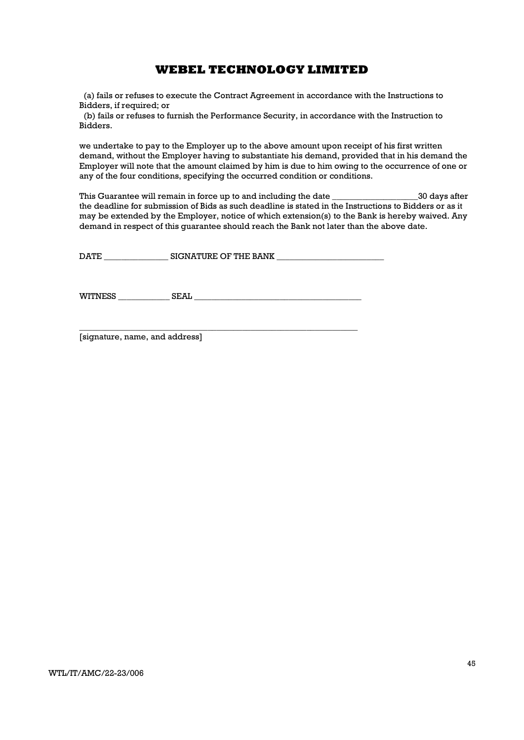(a) fails or refuses to execute the Contract Agreement in accordance with the Instructions to Bidders, if required; or

 (b) fails or refuses to furnish the Performance Security, in accordance with the Instruction to Bidders.

we undertake to pay to the Employer up to the above amount upon receipt of his first written demand, without the Employer having to substantiate his demand, provided that in his demand the Employer will note that the amount claimed by him is due to him owing to the occurrence of one or any of the four conditions, specifying the occurred condition or conditions.

This Guarantee will remain in force up to and including the date \_\_\_\_\_\_\_\_\_\_\_\_\_\_\_\_\_\_\_\_30 days after the deadline for submission of Bids as such deadline is stated in the Instructions to Bidders or as it may be extended by the Employer, notice of which extension(s) to the Bank is hereby waived. Any demand in respect of this guarantee should reach the Bank not later than the above date.

| <b>DATE</b> | SIGNATURE OF THE BANK |
|-------------|-----------------------|
|             |                       |

WITNESS SEAL ZEAL THE SEAL THAT IS NOT THE SEAL OF SEAL THAT IS NOT THE SEAL OF THE SEAL OF THE SEAL OF THE SEAL OF THE SEAL OF THE SEAL OF THE SEAL OF THE SEAL OF THE SEAL OF THE SEAL OF THE SEAL OF THE SEAL OF THE SEAL O

\_\_\_\_\_\_\_\_\_\_\_\_\_\_\_\_\_\_\_\_\_\_\_\_\_\_\_\_\_\_\_\_\_\_\_\_\_\_\_\_\_\_\_\_\_\_\_\_\_\_\_\_\_\_\_\_\_\_\_\_\_\_\_\_\_

[signature, name, and address]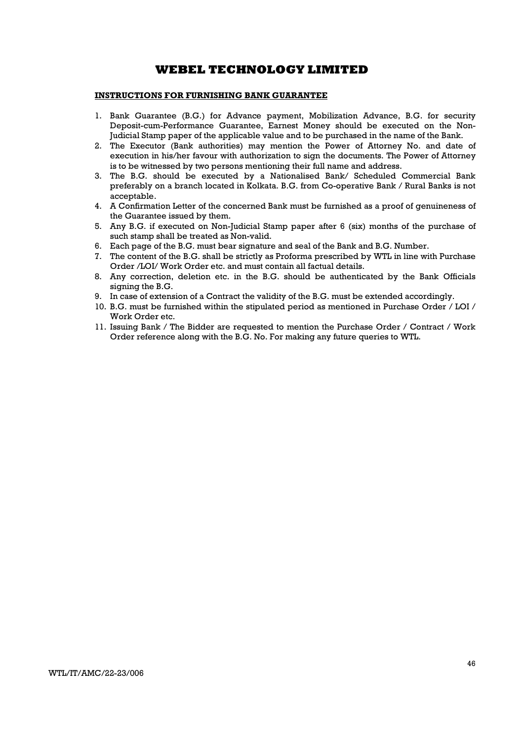## INSTRUCTIONS FOR FURNISHING BANK GUARANTEE

- 1. Bank Guarantee (B.G.) for Advance payment, Mobilization Advance, B.G. for security Deposit-cum-Performance Guarantee, Earnest Money should be executed on the Non-Judicial Stamp paper of the applicable value and to be purchased in the name of the Bank.
- 2. The Executor (Bank authorities) may mention the Power of Attorney No. and date of execution in his/her favour with authorization to sign the documents. The Power of Attorney is to be witnessed by two persons mentioning their full name and address.
- 3. The B.G. should be executed by a Nationalised Bank/ Scheduled Commercial Bank preferably on a branch located in Kolkata. B.G. from Co-operative Bank / Rural Banks is not acceptable.
- 4. A Confirmation Letter of the concerned Bank must be furnished as a proof of genuineness of the Guarantee issued by them.
- 5. Any B.G. if executed on Non-Judicial Stamp paper after 6 (six) months of the purchase of such stamp shall be treated as Non-valid.
- 6. Each page of the B.G. must bear signature and seal of the Bank and B.G. Number.
- 7. The content of the B.G. shall be strictly as Proforma prescribed by WTL in line with Purchase Order /LOI/ Work Order etc. and must contain all factual details.
- 8. Any correction, deletion etc. in the B.G. should be authenticated by the Bank Officials signing the B.G.
- 9. In case of extension of a Contract the validity of the B.G. must be extended accordingly.
- 10. B.G. must be furnished within the stipulated period as mentioned in Purchase Order / LOI / Work Order etc.
- 11. Issuing Bank / The Bidder are requested to mention the Purchase Order / Contract / Work Order reference along with the B.G. No. For making any future queries to WTL.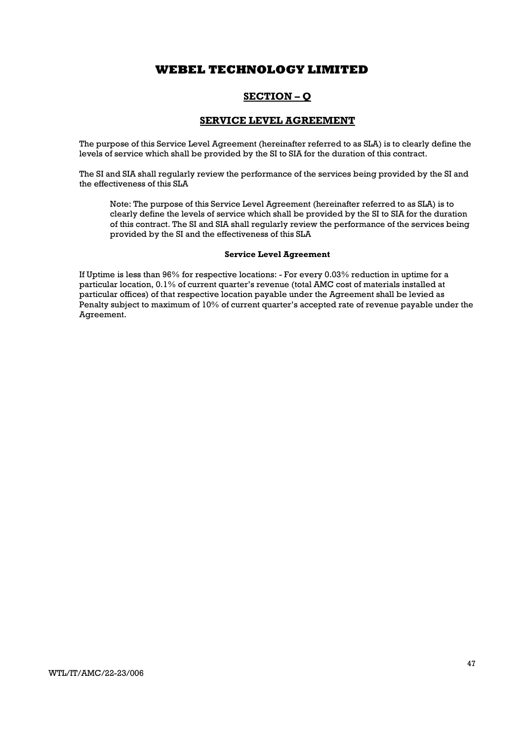## SECTION – Q

## SERVICE LEVEL AGREEMENT

The purpose of this Service Level Agreement (hereinafter referred to as SLA) is to clearly define the levels of service which shall be provided by the SI to SIA for the duration of this contract.

The SI and SIA shall regularly review the performance of the services being provided by the SI and the effectiveness of this SLA

Note: The purpose of this Service Level Agreement (hereinafter referred to as SLA) is to clearly define the levels of service which shall be provided by the SI to SIA for the duration of this contract. The SI and SIA shall regularly review the performance of the services being provided by the SI and the effectiveness of this SLA

#### Service Level Agreement

If Uptime is less than 96% for respective locations: - For every 0.03% reduction in uptime for a particular location, 0.1% of current quarter's revenue (total AMC cost of materials installed at particular offices) of that respective location payable under the Agreement shall be levied as Penalty subject to maximum of 10% of current quarter's accepted rate of revenue payable under the Agreement.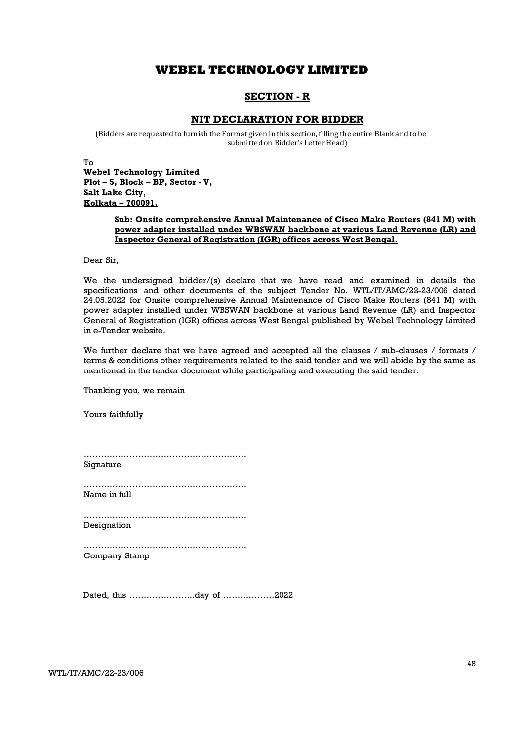## SECTION - R

## NIT DECLARATION FOR BIDDER

(Bidders are requested to furnish the Format given in this section, filling the entire Blank and to be submitted on Bidder's Letter Head)

To

Webel Technology Limited Plot – 5, Block – BP, Sector - V, Salt Lake City, Kolkata – 700091.

#### Sub: Onsite comprehensive Annual Maintenance of Cisco Make Routers (841 M) with power adapter installed under WBSWAN backbone at various Land Revenue (LR) and Inspector General of Registration (IGR) offices across West Bengal.

Dear Sir,

We the undersigned bidder/(s) declare that we have read and examined in details the specifications and other documents of the subject Tender No. WTL/IT/AMC/22-23/006 dated 24.05.2022 for Onsite comprehensive Annual Maintenance of Cisco Make Routers (841 M) with power adapter installed under WBSWAN backbone at various Land Revenue (LR) and Inspector General of Registration (IGR) offices across West Bengal published by Webel Technology Limited in e-Tender website.

We further declare that we have agreed and accepted all the clauses / sub-clauses / formats / terms & conditions other requirements related to the said tender and we will abide by the same as mentioned in the tender document while participating and executing the said tender.

Thanking you, we remain

Yours faithfully

………………………………………………… Signature

………………………………………………… Name in full

………………………………………………… Designation

………………………………………………… Company Stamp

Dated, this …………………..day of ………………2022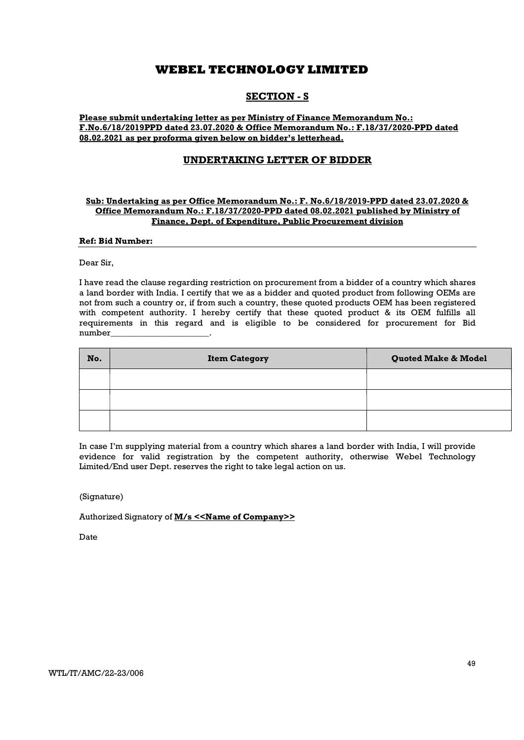## SECTION - S

Please submit undertaking letter as per Ministry of Finance Memorandum No.: F.No.6/18/2019PPD dated 23.07.2020 & Office Memorandum No.: F.18/37/2020-PPD dated 08.02.2021 as per proforma given below on bidder's letterhead.

## UNDERTAKING LETTER OF BIDDER

#### Sub: Undertaking as per Office Memorandum No.: F. No.6/18/2019-PPD dated 23.07.2020 & Office Memorandum No.: F.18/37/2020-PPD dated 08.02.2021 published by Ministry of Finance, Dept. of Expenditure, Public Procurement division

#### Ref: Bid Number:

Dear Sir,

I have read the clause regarding restriction on procurement from a bidder of a country which shares a land border with India. I certify that we as a bidder and quoted product from following OEMs are not from such a country or, if from such a country, these quoted products OEM has been registered with competent authority. I hereby certify that these quoted product & its OEM fulfills all requirements in this regard and is eligible to be considered for procurement for Bid number\_\_\_\_\_\_\_\_\_\_\_\_\_\_\_\_\_\_\_\_\_\_\_.

| No. | <b>Item Category</b> | <b>Quoted Make &amp; Model</b> |
|-----|----------------------|--------------------------------|
|     |                      |                                |
|     |                      |                                |
|     |                      |                                |

In case I'm supplying material from a country which shares a land border with India, I will provide evidence for valid registration by the competent authority, otherwise Webel Technology Limited/End user Dept. reserves the right to take legal action on us.

(Signature)

Authorized Signatory of **M/s <<Name of Company>>** 

Date